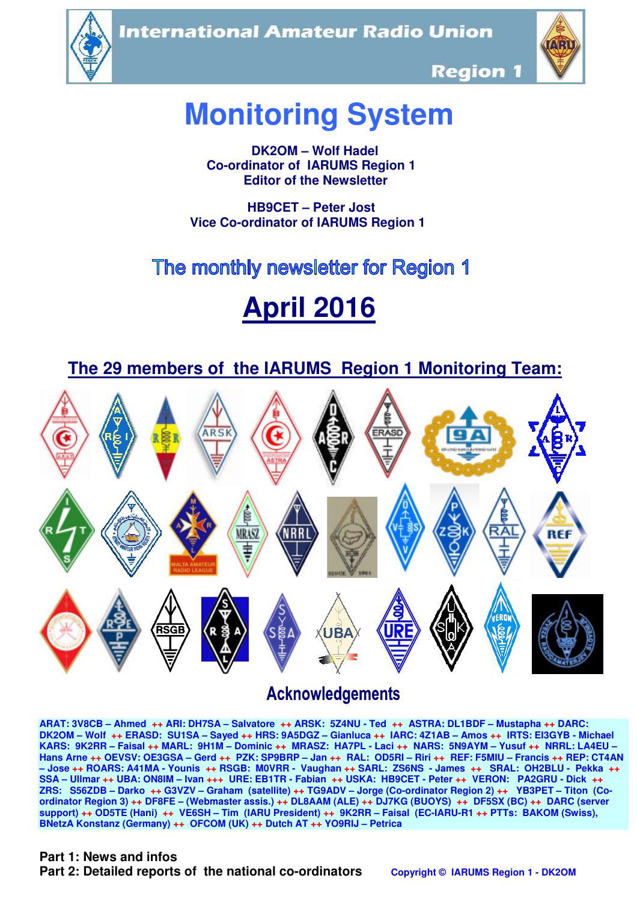**International Amateur Radio Union** 





**Region 1** 

# **Monitoring System**

 **DK2OM – Wolf Hadel Co-ordinator of IARUMS Region 1 Editor of the Newsletter** 

 **HB9CET – Peter Jost Vice Co-ordinator of IARUMS Region 1** 

# The monthly newsletter for Region 1

# **April 2016**

 **The 29 members of the IARUMS Region 1 Monitoring Team:**



## **Acknowledgements**

**ARAT: 3V8CB – Ahmed ++ ARI: DH7SA – Salvatore ++ ARSK: 5Z4NU - Ted ++ ASTRA: DL1BDF – Mustapha ++ DARC: DK2OM – Wolf ++ ERASD: SU1SA – Sayed ++ HRS: 9A5DGZ – Gianluca ++ IARC: 4Z1AB – Amos ++ IRTS: EI3GYB - Michael KARS: 9K2RR – Faisal ++ MARL: 9H1M – Dominic ++ MRASZ: HA7PL - Laci ++ NARS: 5N9AYM – Yusuf ++ NRRL: LA4EU – Hans Arne ++ OEVSV: OE3GSA – Gerd ++ PZK: SP9BRP – Jan ++ RAL: OD5RI – Riri ++ REF: F5MIU – Francis ++ REP: CT4AN – Jose ++ ROARS: A41MA - Younis ++ RSGB: M0VRR - Vaughan ++ SARL: ZS6NS - James ++ SRAL: OH2BLU - Pekka ++ SSA – Ullmar ++ UBA: ON8IM – Ivan +++ URE: EB1TR - Fabian ++ USKA: HB9CET - Peter ++ VERON: PA2GRU - Dick ++ ZRS: S56ZDB – Darko ++ G3VZV – Graham (satellite) ++ TG9ADV – Jorge (Co-ordinator Region 2) ++ YB3PET – Titon (Coordinator Region 3) ++ DF8FE – (Webmaster assis.) ++ DL8AAM (ALE) ++ DJ7KG (BUOYS) ++ DF5SX (BC) ++ DARC (server support) ++ OD5TE (Hani) ++ VE6SH – Tim (IARU President) ++ 9K2RR – Faisal (EC-IARU-R1 ++ PTTs: BAKOM (Swiss), BNetzA Konstanz (Germany) ++ OFCOM (UK) ++ Dutch AT ++ YO9RIJ – Petrica** 

#### **Part 1: News and infos**

**Part 2: Detailed reports of the national co-ordinators copyright © IARUMS Region 1 - DK2OM**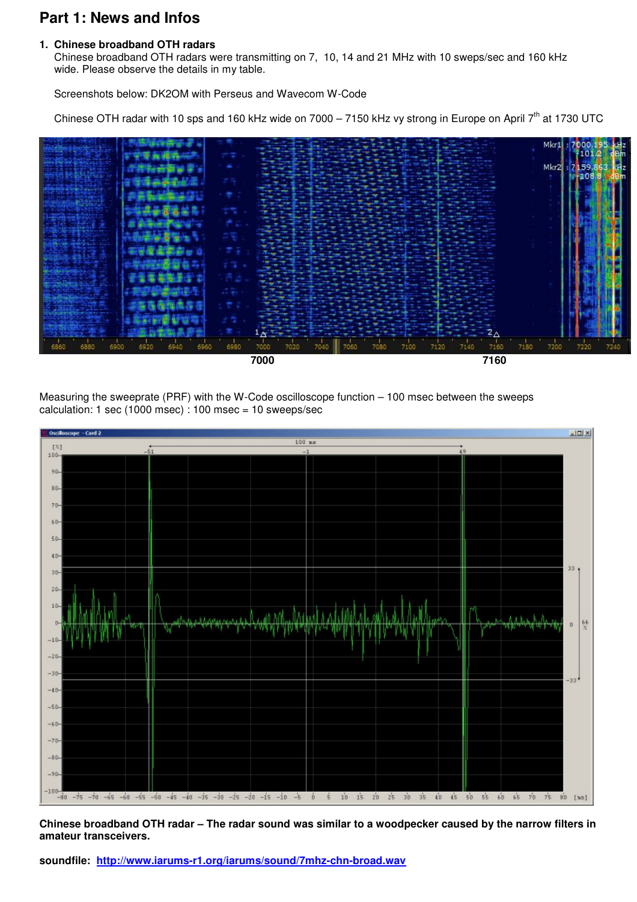## **Part 1: News and Infos**

#### **1. Chinese broadband OTH radars**

 Chinese broadband OTH radars were transmitting on 7, 10, 14 and 21 MHz with 10 sweps/sec and 160 kHz wide. Please observe the details in my table.

Screenshots below: DK2OM with Perseus and Wavecom W-Code

Chinese OTH radar with 10 sps and 160 kHz wide on 7000 – 7150 kHz vy strong in Europe on April  $7<sup>th</sup>$  at 1730 UTC





Measuring the sweeprate (PRF) with the W-Code oscilloscope function – 100 msec between the sweeps calculation: 1 sec (1000 msec) : 100 msec = 10 sweeps/sec



**Chinese broadband OTH radar – The radar sound was similar to a woodpecker caused by the narrow filters in amateur transceivers.** 

**soundfile: http://www.iarums-r1.org/iarums/sound/7mhz-chn-broad.wav**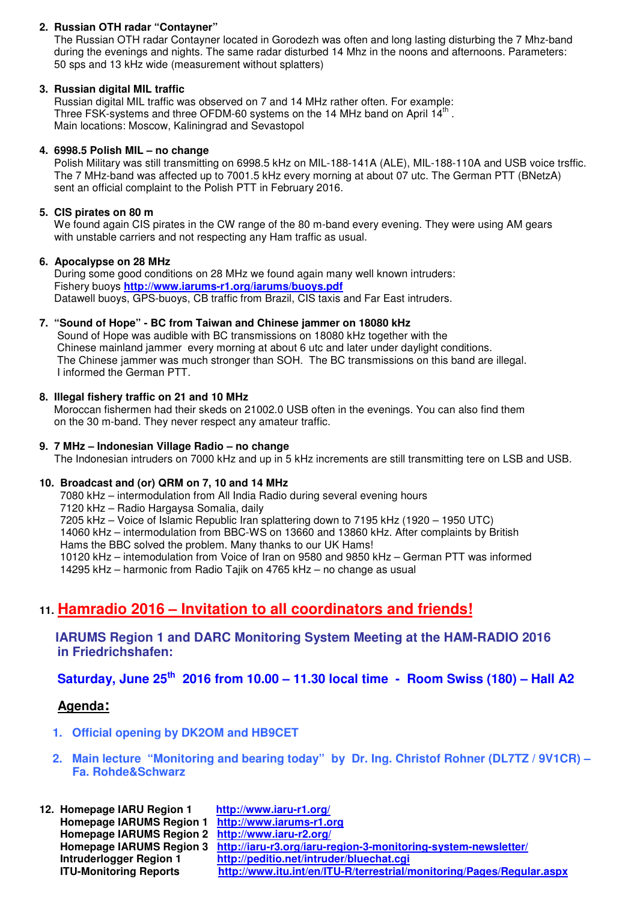#### **2. Russian OTH radar "Contayner"**

The Russian OTH radar Contayner located in Gorodezh was often and long lasting disturbing the 7 Mhz-band during the evenings and nights. The same radar disturbed 14 Mhz in the noons and afternoons. Parameters: 50 sps and 13 kHz wide (measurement without splatters)

#### **3. Russian digital MIL traffic**

 Russian digital MIL traffic was observed on 7 and 14 MHz rather often. For example: Three FSK-systems and three OFDM-60 systems on the 14 MHz band on April  $14^{th}$ . Main locations: Moscow, Kaliningrad and Sevastopol

#### **4. 6998.5 Polish MIL – no change**

Polish Military was still transmitting on 6998.5 kHz on MIL-188-141A (ALE), MIL-188-110A and USB voice trsffic. The 7 MHz-band was affected up to 7001.5 kHz every morning at about 07 utc. The German PTT (BNetzA) sent an official complaint to the Polish PTT in February 2016.

#### **5. CIS pirates on 80 m**

We found again CIS pirates in the CW range of the 80 m-band every evening. They were using AM gears with unstable carriers and not respecting any Ham traffic as usual.

#### **6. Apocalypse on 28 MHz**

During some good conditions on 28 MHz we found again many well known intruders: Fishery buoys **http://www.iarums-r1.org/iarums/buoys.pdf** Datawell buoys, GPS-buoys, CB traffic from Brazil, CIS taxis and Far East intruders.

#### **7. "Sound of Hope" - BC from Taiwan and Chinese jammer on 18080 kHz**

Sound of Hope was audible with BC transmissions on 18080 kHz together with the Chinese mainland jammer every morning at about 6 utc and later under daylight conditions. The Chinese jammer was much stronger than SOH. The BC transmissions on this band are illegal. I informed the German PTT.

#### **8. Illegal fishery traffic on 21 and 10 MHz**

Moroccan fishermen had their skeds on 21002.0 USB often in the evenings. You can also find them on the 30 m-band. They never respect any amateur traffic.

#### **9. 7 MHz – Indonesian Village Radio – no change**

The Indonesian intruders on 7000 kHz and up in 5 kHz increments are still transmitting tere on LSB and USB.

#### **10. Broadcast and (or) QRM on 7, 10 and 14 MHz**

7080 kHz – intermodulation from All India Radio during several evening hours

7120 kHz – Radio Hargaysa Somalia, daily

7205 kHz – Voice of Islamic Republic Iran splattering down to 7195 kHz (1920 – 1950 UTC)

 14060 kHz – intermodulation from BBC-WS on 13660 and 13860 kHz. After complaints by British Hams the BBC solved the problem. Many thanks to our UK Hams!

10120 kHz – intemodulation from Voice of Iran on 9580 and 9850 kHz – German PTT was informed

14295 kHz – harmonic from Radio Tajik on 4765 kHz – no change as usual

## **11. Hamradio 2016 – Invitation to all coordinators and friends!**

 **IARUMS Region 1 and DARC Monitoring System Meeting at the HAM-RADIO 2016 in Friedrichshafen:** 

 **Saturday, June 25th 2016 from 10.00 – 11.30 local time - Room Swiss (180) – Hall A2** 

#### **Agenda:**

 **1. Official opening by DK2OM and HB9CET** 

#### **2. Main lecture "Monitoring and bearing today" by Dr. Ing. Christof Rohner (DL7TZ / 9V1CR) – Fa. Rohde&Schwarz**

| 12. Homepage IARU Region 1                        | http://www.iaru-r1.org/                                                                 |
|---------------------------------------------------|-----------------------------------------------------------------------------------------|
| Homepage IARUMS Region 1 http://www.iarums-r1.org |                                                                                         |
| Homepage IARUMS Region 2 http://www.iaru-r2.org/  |                                                                                         |
|                                                   | Homepage IARUMS Region 3 http://iaru-r3.org/iaru-region-3-monitoring-system-newsletter/ |
| Intruderlogger Region 1                           | http://peditio.net/intruder/bluechat.cgi                                                |
| <b>ITU-Monitoring Reports</b>                     | http://www.itu.int/en/ITU-R/terrestrial/monitoring/Pages/Regular.aspx                   |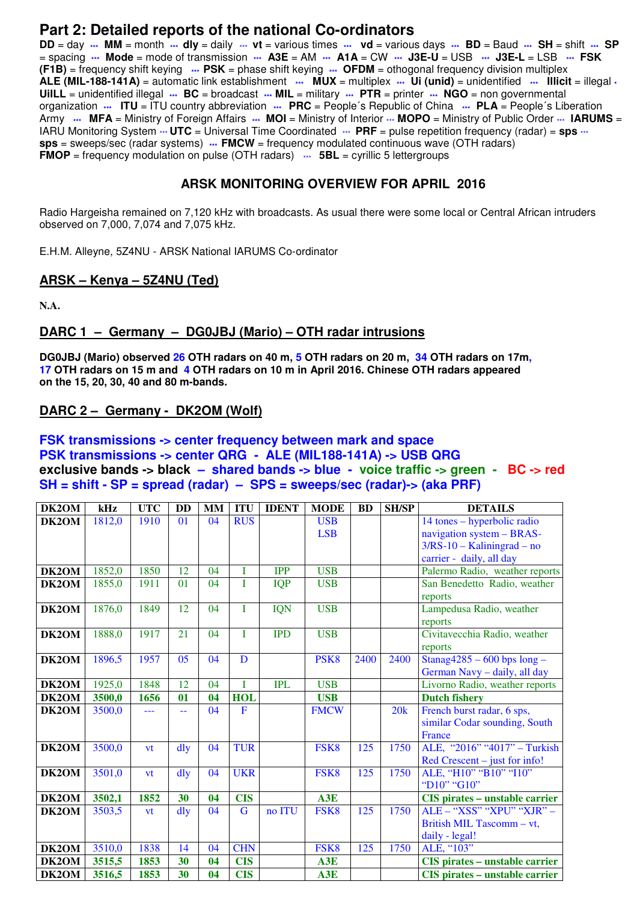### **Part 2: Detailed reports of the national Co-ordinators**

**DD** = day **\*\*\* MM** = month **\*\*\* dly** = daily \*\*\* **vt** = various times **\*\*\* vd** = various days **\*\*\* BD** = Baud **\*\*\* SH** = shift **\*\*\* SP** = spacing **\*\*\* Mode** = mode of transmission **\*\*\* A3E** = AM **\*\*\* A1A** = CW **\*\*\* J3E-U** = USB **\*\*\* J3E-L** = LSB **\*\*\* FSK (F1B)** = frequency shift keying **\*\*\* PSK** = phase shift keying **\*\*\* OFDM** = othogonal frequency division multiplex **ALE (MIL-188-141A)** = automatic link establishment **\*\*\* MUX** = multiplex **\*\*\* Ui (unid)** = unidentified **\*\*\* Illicit** = illegal **\* UiILL** = unidentified illegal **\*\*\* BC** = broadcast **\*\*\* MIL** = military **\*\*\* PTR** = printer **\*\*\* NGO** = non governmental organization **\*\*\* ITU** = ITU country abbreviation **\*\*\* PRC** = People´s Republic of China **\*\*\* PLA** = People´s Liberation Army **\*\*\*** MFA = Ministry of Foreign Affairs \*\*\* MOI = Ministry of Interior \*\*\* MOPO = Ministry of Public Order \*\*\* IARUMS = IARU Monitoring System  $\cdots$  **UTC** = Universal Time Coordinated  $\cdots$  PRF = pulse repetition frequency (radar) = sps  $\cdots$ **sps** = sweeps/sec (radar systems) **\*\*\* FMCW** = frequency modulated continuous wave (OTH radars) **FMOP** = frequency modulation on pulse (OTH radars)  $\cdots$  **5BL** = cyrillic 5 lettergroups

#### **ARSK MONITORING OVERVIEW FOR APRIL 2016**

Radio Hargeisha remained on 7,120 kHz with broadcasts. As usual there were some local or Central African intruders observed on 7,000, 7,074 and 7,075 kHz.

E.H.M. Alleyne, 5Z4NU - ARSK National IARUMS Co-ordinator

#### **ARSK – Kenya – 5Z4NU (Ted)**

**N.A.** 

#### **DARC 1 – Germany – DG0JBJ (Mario) – OTH radar intrusions**

**DG0JBJ (Mario) observed 26 OTH radars on 40 m, 5 OTH radars on 20 m, 34 OTH radars on 17m, 17 OTH radars on 15 m and 4 OTH radars on 10 m in April 2016. Chinese OTH radars appeared on the 15, 20, 30, 40 and 80 m-bands.** 

#### **DARC 2 – Germany - DK2OM (Wolf)**

#### **FSK transmissions -> center frequency between mark and space PSK transmissions -> center QRG - ALE (MIL188-141A) -> USB QRG exclusive bands -> black – shared bands -> blue - voice traffic -> green - BC -> red SH = shift - SP = spread (radar) – SPS = sweeps/sec (radar)-> (aka PRF)**

| DK2OM | kHz    | <b>UTC</b> | <b>DD</b>      | <b>MM</b> | <b>ITU</b> | <b>IDENT</b> | <b>MODE</b>      | <b>BD</b> | <b>SH/SP</b> | <b>DETAILS</b>                        |
|-------|--------|------------|----------------|-----------|------------|--------------|------------------|-----------|--------------|---------------------------------------|
| DK2OM | 1812,0 | 1910       | 01             | 04        | <b>RUS</b> |              | <b>USB</b>       |           |              | 14 tones – hyperbolic radio           |
|       |        |            |                |           |            |              | <b>LSB</b>       |           |              | navigation system - BRAS-             |
|       |        |            |                |           |            |              |                  |           |              | $3/RS-10 - Kaliningrad - no$          |
|       |        |            |                |           |            |              |                  |           |              | carrier - daily, all day              |
| DK2OM | 1852,0 | 1850       | 12             | 04        | T          | <b>IPP</b>   | <b>USB</b>       |           |              | Palermo Radio, weather reports        |
| DK2OM | 1855,0 | 1911       | 01             | 04        | T          | <b>IQP</b>   | <b>USB</b>       |           |              | San Benedetto Radio, weather          |
|       |        |            |                |           |            |              |                  |           |              | reports                               |
| DK2OM | 1876,0 | 1849       | 12             | 04        | T          | <b>IQN</b>   | <b>USB</b>       |           |              | Lampedusa Radio, weather              |
|       |        |            |                |           |            |              |                  |           |              | reports                               |
| DK2OM | 1888,0 | 1917       | 21             | 04        | T          | <b>IPD</b>   | <b>USB</b>       |           |              | Civitavecchia Radio, weather          |
|       |        |            |                |           |            |              |                  |           |              | reports                               |
| DK2OM | 1896,5 | 1957       | 0 <sub>5</sub> | 04        | D          |              | PSK <sub>8</sub> | 2400      | 2400         | Stanag $4285 - 600$ bps long -        |
|       |        |            |                |           |            |              |                  |           |              | German Navy - daily, all day          |
| DK2OM | 1925,0 | 1848       | 12             | 04        | I          | <b>IPL</b>   | <b>USB</b>       |           |              | Livorno Radio, weather reports        |
| DK2OM | 3500,0 | 1656       | $\mathbf{0}$   | 04        | <b>HOL</b> |              | <b>USB</b>       |           |              | <b>Dutch fishery</b>                  |
| DK2OM | 3500,0 | ---        | 44             | 04        | F          |              | <b>FMCW</b>      |           | 20k          | French burst radar, 6 sps,            |
|       |        |            |                |           |            |              |                  |           |              | similar Codar sounding, South         |
|       |        |            |                |           |            |              |                  |           |              | France                                |
| DK2OM | 3500,0 | vt         | dly            | 04        | <b>TUR</b> |              | FSK8             | 125       | 1750         | ALE, "2016" "4017" - Turkish          |
|       |        |            |                |           |            |              |                  |           |              | $Red$ Crescent – just for info!       |
| DK2OM | 3501,0 | vt         | dly            | 04        | <b>UKR</b> |              | FSK8             | 125       | 1750         | ALE, "H10" "B10" "I10"                |
|       |        |            |                |           |            |              |                  |           |              | "D10" "G10"                           |
| DK2OM | 3502,1 | 1852       | 30             | 04        | <b>CIS</b> |              | A3E              |           |              | <b>CIS</b> pirates - unstable carrier |
| DK2OM | 3503,5 | vt         | $\frac{d}{dy}$ | 04        | G          | no ITU       | FSK <sub>8</sub> | 125       | 1750         | ALE - "XSS" "XPU" "XJR" -             |
|       |        |            |                |           |            |              |                  |           |              | British MIL Tascomm - vt,             |
|       |        |            |                |           |            |              |                  |           |              | daily - legal!                        |
| DK2OM | 3510,0 | 1838       | 14             | 04        | <b>CHN</b> |              | FSK8             | 125       | 1750         | ALE, "103"                            |
| DK2OM | 3515,5 | 1853       | 30             | 04        | <b>CIS</b> |              | A3E              |           |              | <b>CIS</b> pirates - unstable carrier |
| DK2OM | 3516,5 | 1853       | 30             | 04        | <b>CIS</b> |              | A3E              |           |              | CIS pirates - unstable carrier        |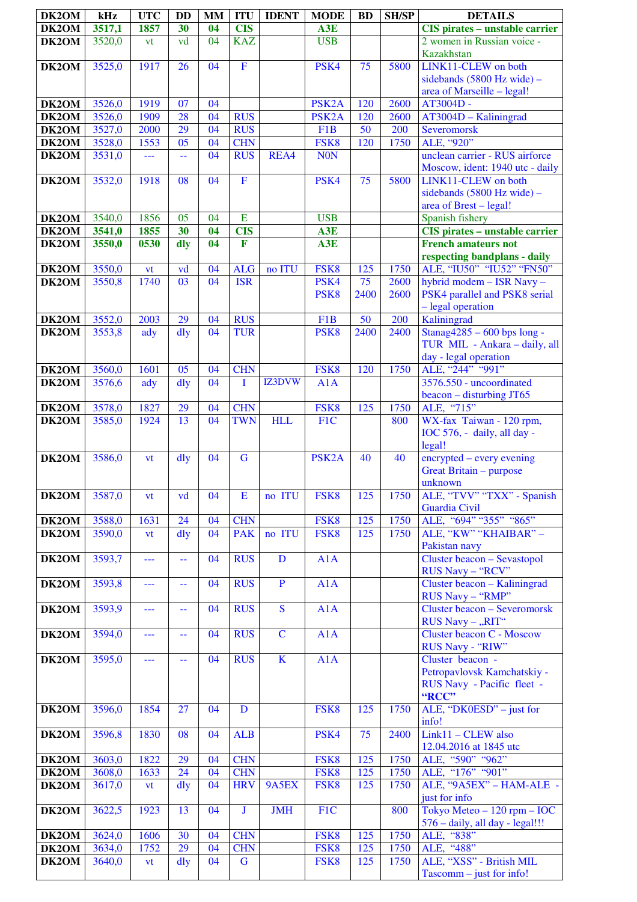| DK2OM                     | kHz              | <b>UTC</b>   | <b>DD</b>       | <b>MM</b> | <b>ITU</b>               | <b>IDENT</b>            | <b>MODE</b>        | <b>BD</b>       | <b>SH/SP</b> | <b>DETAILS</b>                                               |
|---------------------------|------------------|--------------|-----------------|-----------|--------------------------|-------------------------|--------------------|-----------------|--------------|--------------------------------------------------------------|
| DK2OM                     | 3517,1           | 1857         | 30              | 04        | <b>CIS</b>               |                         | A3E                |                 |              | <b>CIS</b> pirates - unstable carrier                        |
| DK2OM                     | 3520,0           | vt           | vd              | 04        | <b>KAZ</b>               |                         | <b>USB</b>         |                 |              | 2 women in Russian voice -                                   |
|                           |                  |              | 26              |           | $\overline{F}$           |                         |                    |                 |              | <b>Kazakhstan</b><br>LINK11-CLEW on both                     |
| DK2OM                     | 3525,0           | 1917         |                 | 04        |                          |                         | PSK4               | 75              | 5800         | sidebands $(5800 \text{ Hz wide})$ -                         |
|                           |                  |              |                 |           |                          |                         |                    |                 |              | area of Marseille - legal!                                   |
| DK2OM                     | 3526,0           | 1919         | 07              | 04        |                          |                         | PSK <sub>2</sub> A | 120             | 2600         | AT3004D -                                                    |
| DK2OM                     | 3526,0           | 1909         | 28              | 04        | <b>RUS</b>               |                         | PSK <sub>2</sub> A | 120             | 2600         | $AT3004D - Kaliningrad$                                      |
| DK2OM                     | 3527,0           | 2000         | 29              | 04        | <b>RUS</b>               |                         | F <sub>1</sub> B   | 50              | 200          | Severomorsk                                                  |
| DK2OM                     | 3528,0           | 1553         | 05              | 04<br>04  | <b>CHN</b>               |                         | FSK8               | 120             | 1750         | ALE, "920"<br>unclean carrier - RUS airforce                 |
| DK2OM                     | 3531,0           | ---          | 44              |           | <b>RUS</b>               | REA4                    | <b>NON</b>         |                 |              | Moscow, ident: 1940 utc - daily                              |
| DK2OM                     | 3532,0           | 1918         | 08              | 04        | $\mathbf F$              |                         | PSK4               | 75              | 5800         | LINK11-CLEW on both                                          |
|                           |                  |              |                 |           |                          |                         |                    |                 |              | sidebands (5800 Hz wide) -                                   |
|                           |                  |              |                 |           |                          |                         |                    |                 |              | area of Brest – legal!                                       |
| DK2OM                     | 3540,0           | 1856<br>1855 | 05<br>30        | 04<br>04  | E<br><b>CIS</b>          |                         | <b>USB</b>         |                 |              | Spanish fishery                                              |
| DK2OM<br>DK2OM            | 3541,0<br>3550,0 | 0530         | dly             | 04        | F                        |                         | A3E<br>A3E         |                 |              | CIS pirates - unstable carrier<br><b>French amateurs not</b> |
|                           |                  |              |                 |           |                          |                         |                    |                 |              | respecting bandplans - daily                                 |
| DK2OM                     | 3550,0           | vt           | vd              | 04        | <b>ALG</b>               | no ITU                  | FSK8               | 125             | 1750         | ALE, "IU50" "IU52" "FN50"                                    |
| DK2OM                     | 3550,8           | 1740         | 03              | 04        | <b>ISR</b>               |                         | PSK4               | 75              | 2600         | hybrid modem - ISR Navy -                                    |
|                           |                  |              |                 |           |                          |                         | PSK <sub>8</sub>   | 2400            | 2600         | PSK4 parallel and PSK8 serial<br>- legal operation           |
| DK2OM                     | 3552,0           | 2003         | 29              | 04        | <b>RUS</b>               |                         | F <sub>1</sub> B   | $\overline{50}$ | 200          | Kaliningrad                                                  |
| DK2OM                     | 3553,8           | ady          | $\frac{d}{dy}$  | 04        | <b>TUR</b>               |                         | PSK <sub>8</sub>   | 2400            | 2400         | Stanag4285 - 600 bps long -                                  |
|                           |                  |              |                 |           |                          |                         |                    |                 |              | TUR MIL - Ankara - daily, all                                |
|                           |                  |              |                 |           |                          |                         |                    |                 |              | day - legal operation                                        |
| DK2OM<br>DK2OM            | 3560,0<br>3576,6 | 1601         | 05              | 04<br>04  | <b>CHN</b><br>T          | IZ3DVW                  | FSK8<br>A1A        | 120             | 1750         | ALE, "244" "991"<br>3576.550 - uncoordinated                 |
|                           |                  | ady          | dly             |           |                          |                         |                    |                 |              | $beacon - disturbing JT65$                                   |
| DK2OM                     | 3578,0           | 1827         | 29              | 04        | <b>CHN</b>               |                         | FSK8               | 125             | 1750         | ALE, "715"                                                   |
| DK2OM                     | 3585,0           | 1924         | 13              | 04        | <b>TWN</b>               | <b>HLL</b>              | F1C                |                 | 800          | WX-fax Taiwan - 120 rpm,                                     |
|                           |                  |              |                 |           |                          |                         |                    |                 |              | IOC 576, - daily, all day -                                  |
| DK2OM                     | 3586,0           | vt           | $\frac{d}{dy}$  | 04        | $\mathbf G$              |                         | PSK <sub>2</sub> A | 40              | 40           | legal!<br>encrypted – every evening                          |
|                           |                  |              |                 |           |                          |                         |                    |                 |              | Great Britain - purpose                                      |
|                           |                  |              |                 |           |                          |                         |                    |                 |              | unknown                                                      |
| DK2OM                     | 3587,0           | vt           | vd              | 04        | E                        | no ITU                  | FSK <sub>8</sub>   | 125             | 1750         | ALE, "TVV" "TXX" - Spanish                                   |
|                           |                  |              |                 |           |                          |                         | FSK8               |                 |              | Guardia Civil<br>ALE, "694" "355" "865"                      |
| DK2OM<br>DK2OM            | 3588,0<br>3590,0 | 1631<br>vt   | 24<br>dly       | 04<br>04  | <b>CHN</b><br><b>PAK</b> | no ITU                  | FSK8               | 125<br>125      | 1750<br>1750 | ALE, "KW" "KHAIBAR" -                                        |
|                           |                  |              |                 |           |                          |                         |                    |                 |              | Pakistan navy                                                |
| DK2OM                     | 3593,7           | ---          | 44              | 04        | <b>RUS</b>               | $\mathbf D$             | A1A                |                 |              | Cluster beacon - Sevastopol                                  |
|                           |                  |              |                 |           |                          |                         |                    |                 |              | RUS Navy - "RCV"                                             |
| DK2OM                     | 3593,8           | ---          | 44              | 04        | <b>RUS</b>               | $\mathbf P$             | A <sub>1</sub> A   |                 |              | Cluster beacon - Kaliningrad<br>RUS Navy - "RMP"             |
| DK2OM                     | 3593,9           | ---          | 44              | 04        | <b>RUS</b>               | $\overline{\mathbf{S}}$ | A1A                |                 |              | Cluster beacon - Severomorsk                                 |
|                           |                  |              |                 |           |                          |                         |                    |                 |              | RUS Navy - "RIT"                                             |
| DK2OM                     | 3594,0           | ---          | --              | 04        | <b>RUS</b>               | $\overline{C}$          | A1A                |                 |              | Cluster beacon C - Moscow                                    |
| DK2OM                     | 3595,0           | ---          | 44              | 04        | <b>RUS</b>               | $\mathbf K$             | A1A                |                 |              | RUS Navy - "RIW"<br>Cluster beacon -                         |
|                           |                  |              |                 |           |                          |                         |                    |                 |              | Petropavlovsk Kamchatskiy -                                  |
|                           |                  |              |                 |           |                          |                         |                    |                 |              | RUS Navy - Pacific fleet -                                   |
|                           |                  |              |                 |           |                          |                         |                    |                 |              | "RCC"                                                        |
| DK2OM                     | 3596,0           | 1854         | 27              | 04        | D                        |                         | FSK8               | 125             | 1750         | ALE, "DK0ESD" – just for<br>info!                            |
| DK2OM                     | 3596,8           | 1830         | 08              | 04        | <b>ALB</b>               |                         | PSK4               | 75              | 2400         | $Link11 - CLEW$ also                                         |
|                           |                  |              |                 |           |                          |                         |                    |                 |              | 12.04.2016 at 1845 utc                                       |
| DK2OM                     | 3603,0           | 1822         | 29              | 04        | <b>CHN</b>               |                         | FSK8               | 125             | 1750         | ALE, "590" "962"                                             |
| $\overline{\text{DK2OM}}$ | 3608,0           | 1633         | $\overline{24}$ | 04        | <b>CHN</b>               |                         | FSK8               | 125             | 1750         | ALE, "176" "901"                                             |
| DK2OM                     | 3617,0           | vt           | $\frac{d}{dy}$  | 04        | <b>HRV</b>               | 9A5EX                   | FSK8               | 125             | 1750         | ALE, "9A5EX" - HAM-ALE -<br>just for info                    |
| DK2OM                     | 3622,5           | 1923         | 13              | 04        | J                        | <b>JMH</b>              | F <sub>1</sub> C   |                 | 800          | Tokyo Meteo $-120$ rpm $-$ IOC                               |
|                           |                  |              |                 |           |                          |                         |                    |                 |              | 576 - daily, all day - legal!!!                              |
| DK2OM                     | 3624,0           | 1606         | 30              | 04        | <b>CHN</b>               |                         | FSK8               | 125             | 1750         | ALE, "838"                                                   |
| DK2OM                     | 3634,0           | 1752         | 29              | 04        | <b>CHN</b>               |                         | FSK8               | 125             | 1750         | ALE, "488"                                                   |
| DK2OM                     | 3640,0           | vt           | dly             | 04        | $\mathbf G$              |                         | FSK8               | 125             | 1750         | ALE, "XSS" - British MIL<br>$Tascomm - just for info!$       |
|                           |                  |              |                 |           |                          |                         |                    |                 |              |                                                              |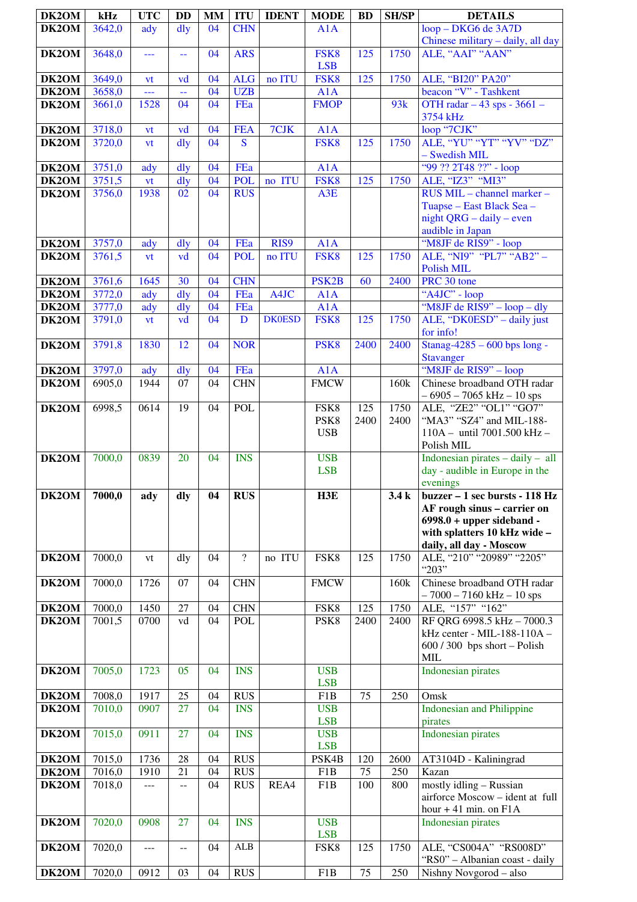| DK2OM              | kHz              | <b>UTC</b>   | <b>DD</b>                                     | <b>MM</b> | <b>ITU</b>               | <b>IDENT</b>  | <b>MODE</b>                    | <b>BD</b>   | <b>SH/SP</b> | <b>DETAILS</b>                                             |
|--------------------|------------------|--------------|-----------------------------------------------|-----------|--------------------------|---------------|--------------------------------|-------------|--------------|------------------------------------------------------------|
| DK2OM              | 3642,0           | ady          | $\frac{d}{dy}$                                | 04        | <b>CHN</b>               |               | A1A                            |             |              | loop - DKG6 de 3A7D                                        |
|                    |                  |              |                                               |           |                          |               |                                |             |              | Chinese military - daily, all day                          |
| DK2OM              | 3648,0           | $ -$         | $\mathord{\hspace{1pt}\text{--}\hspace{1pt}}$ | 04        | <b>ARS</b>               |               | FSK8<br><b>LSB</b>             | 125         | 1750         | ALE, "AAI" "AAN"                                           |
| DK2OM              | 3649,0           | vt           | vd                                            | 04        | <b>ALG</b>               | no ITU        | FSK8                           | 125         | 1750         | ALE, "BI20" PA20"                                          |
| DK2OM              | 3658,0           | ---          | 44                                            | 04        | <b>UZB</b>               |               | A1A                            |             |              | beacon "V" - Tashkent                                      |
| DK2OM              | 3661,0           | 1528         | 04                                            | 04        | FEa                      |               | <b>FMOP</b>                    |             | 93k          | OTH radar - 43 sps - 3661 -<br>3754 kHz                    |
| DK2OM              | 3718,0           | vt           | vd                                            | 04        | <b>FEA</b>               | 7CJK          | A1A                            |             |              | loop "7CJK"                                                |
| DK2OM              | 3720,0           | vt           | $\frac{d}{dy}$                                | 04        | <sub>S</sub>             |               | FSK8                           | 125         | 1750         | ALE, "YU" "YT" "YV" "DZ"                                   |
| DK2OM              | 3751,0           | ady          | $\frac{d}{dy}$                                | 04        | FEa                      |               | A1A                            |             |              | - Swedish MIL<br>"99 ?? 2T48 ??" - loop                    |
| DK2OM              | 3751,5           | vt           | $\frac{d}{dy}$                                | 04        | <b>POL</b>               | no ITU        | FSK8                           | 125         | 1750         | ALE, "IZ3" "MI3"                                           |
| DK <sub>2</sub> OM | 3756,0           | 1938         | 02                                            | 04        | <b>RUS</b>               |               | A3E                            |             |              | RUS MIL - channel marker -                                 |
|                    |                  |              |                                               |           |                          |               |                                |             |              | Tuapse - East Black Sea -<br>night $QRG - daily - even$    |
|                    |                  |              |                                               |           |                          |               |                                |             |              | audible in Japan                                           |
| DK2OM              | 3757,0           | ady          | $\frac{d}{dy}$                                | 04        | FEa                      | RIS9          | A1A                            |             |              | "M8JF de RIS9" - loop                                      |
| DK2OM              | 3761,5           | vt           | vd                                            | 04        | <b>POL</b>               | no ITU        | FSK8                           | 125         | 1750         | ALE, "NI9" "PL7" "AB2" -<br><b>Polish MIL</b>              |
| DK2OM              | 3761,6           | 1645         | 30                                            | 04        | <b>CHN</b>               |               | PSK <sub>2</sub> B             | 60          | 2400         | PRC 30 tone                                                |
| DK2OM              | 3772,0           | ady          | dly                                           | 04        | FEa                      | A4JC          | A1A                            |             |              | "A4JC" - loop                                              |
| DK2OM              | 3777,0           | ady          | dly                                           | 04        | FEa                      | <b>DK0ESD</b> | A1A                            |             |              | "M8JF de RIS9" - loop - dly                                |
| DK2OM              | 3791,0           | vt           | vd                                            | 04        | $\mathbf{D}$             |               | FSK8                           | 125         | 1750         | ALE, "DK0ESD" - daily just<br>for info!                    |
| DK2OM              | 3791,8           | 1830         | 12                                            | 04        | <b>NOR</b>               |               | PSK <sub>8</sub>               | 2400        | 2400         | Stanag-4285 - 600 bps long -                               |
|                    |                  |              |                                               |           |                          |               |                                |             |              | <b>Stavanger</b>                                           |
| DK2OM<br>DK2OM     | 3797,0<br>6905,0 | ady<br>1944  | dly<br>07                                     | 04<br>04  | FEa<br><b>CHN</b>        |               | A1A<br><b>FMCW</b>             |             | 160k         | "M8JF de RIS9" - loop<br>Chinese broadband OTH radar       |
|                    |                  |              |                                               |           |                          |               |                                |             |              | $-6905 - 7065$ kHz $-10$ sps                               |
| DK2OM              | 6998,5           | 0614         | 19                                            | 04        | <b>POL</b>               |               | FSK8                           | 125         | 1750         | ALE, "ZE2" "OL1" "GO7"                                     |
|                    |                  |              |                                               |           |                          |               | PSK <sub>8</sub><br><b>USB</b> | 2400        | 2400         | "MA3" "SZ4" and MIL-188-<br>110A - until 7001.500 kHz -    |
|                    |                  |              |                                               |           |                          |               |                                |             |              | Polish MIL                                                 |
| DK2OM              | 7000,0           | 0839         | 20                                            | 04        | <b>INS</b>               |               | <b>USB</b>                     |             |              | Indonesian pirates $-$ daily $-$ all                       |
|                    |                  |              |                                               |           |                          |               | <b>LSB</b>                     |             |              | day - audible in Europe in the<br>evenings                 |
| DK2OM              | 7000,0           | ady          | dly                                           | 04        | <b>RUS</b>               |               | H3E                            |             | 3.4k         | buzzer – 1 sec bursts - 118 Hz                             |
|                    |                  |              |                                               |           |                          |               |                                |             |              | AF rough sinus - carrier on<br>$6998.0 + upper sideband -$ |
|                    |                  |              |                                               |           |                          |               |                                |             |              | with splatters 10 kHz wide -                               |
|                    |                  |              |                                               |           |                          |               |                                |             |              | daily, all day - Moscow                                    |
| DK2OM              | 7000,0           | vt           | dly                                           | 04        | $\overline{?}$           | no ITU        | FSK8                           | 125         | 1750         | ALE, "210" "20989" "2205"<br>"203"                         |
| DK2OM              | 7000,0           | 1726         | 07                                            | 04        | <b>CHN</b>               |               | <b>FMCW</b>                    |             | 160k         | Chinese broadband OTH radar                                |
|                    |                  |              |                                               |           |                          |               |                                |             |              | $-7000 - 7160$ kHz $-10$ sps                               |
| DK2OM<br>DK2OM     | 7000,0<br>7001,5 | 1450<br>0700 | 27<br>vd                                      | 04<br>04  | <b>CHN</b><br><b>POL</b> |               | FSK8<br>PSK8                   | 125<br>2400 | 1750<br>2400 | ALE, "157" "162"<br>RF QRG 6998.5 kHz - 7000.3             |
|                    |                  |              |                                               |           |                          |               |                                |             |              | kHz center - MIL-188-110A -                                |
|                    |                  |              |                                               |           |                          |               |                                |             |              | $600 / 300$ bps short - Polish                             |
| DK2OM              | 7005,0           | 1723         | 05                                            | 04        | <b>INS</b>               |               | <b>USB</b>                     |             |              | MIL<br><b>Indonesian pirates</b>                           |
|                    |                  |              |                                               |           |                          |               | <b>LSB</b>                     |             |              |                                                            |
| DK2OM              | 7008,0           | 1917         | 25                                            | 04        | <b>RUS</b>               |               | F1B                            | 75          | 250          | Omsk                                                       |
| DK2OM              | 7010,0           | 0907         | 27                                            | 04        | <b>INS</b>               |               | <b>USB</b><br><b>LSB</b>       |             |              | <b>Indonesian and Philippine</b><br>pirates                |
| DK2OM              | 7015,0           | 0911         | 27                                            | 04        | <b>INS</b>               |               | <b>USB</b>                     |             |              | <b>Indonesian pirates</b>                                  |
|                    |                  | 1736         | 28                                            | 04        | <b>RUS</b>               |               | <b>LSB</b>                     | 120         | 2600         |                                                            |
| DK2OM<br>DK2OM     | 7015,0<br>7016,0 | 1910         | 21                                            | 04        | <b>RUS</b>               |               | PSK4B<br>F1B                   | 75          | 250          | AT3104D - Kaliningrad<br>Kazan                             |
| DK2OM              | 7018,0           | ---          | $- -$                                         | 04        | <b>RUS</b>               | REA4          | F1B                            | 100         | 800          | mostly idling - Russian                                    |
|                    |                  |              |                                               |           |                          |               |                                |             |              | airforce Moscow - ident at full                            |
| DK2OM              | 7020,0           | 0908         | 27                                            | 04        | <b>INS</b>               |               | <b>USB</b>                     |             |              | hour $+41$ min. on $F1A$<br>Indonesian pirates             |
|                    |                  |              |                                               |           |                          |               | <b>LSB</b>                     |             |              |                                                            |
| DK2OM              | 7020,0           | ---          | $-$                                           | 04        | <b>ALB</b>               |               | FSK8                           | 125         | 1750         | ALE, "CS004A" "RS008D"                                     |
| DK2OM              | 7020,0           | 0912         | 03                                            | 04        | <b>RUS</b>               |               | F <sub>1</sub> B               | 75          | 250          | "RS0" - Albanian coast - daily<br>Nishny Novgorod - also   |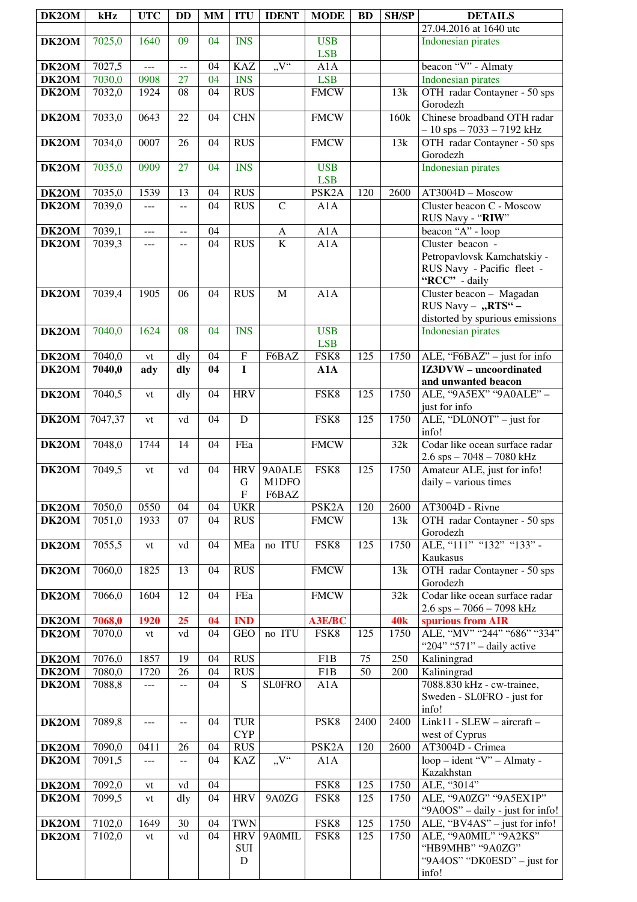| DK2OM              | kHz              | <b>UTC</b>     | <b>DD</b> | <b>MM</b> | <b>ITU</b>                   | <b>IDENT</b>                            | <b>MODE</b>              | <b>BD</b>        | <b>SH/SP</b> | <b>DETAILS</b>                                                                                         |
|--------------------|------------------|----------------|-----------|-----------|------------------------------|-----------------------------------------|--------------------------|------------------|--------------|--------------------------------------------------------------------------------------------------------|
| DK2OM              | 7025,0           | 1640           | 09        | 04        | <b>INS</b>                   |                                         | <b>USB</b>               |                  |              | 27.04.2016 at 1640 utc<br><b>Indonesian pirates</b>                                                    |
|                    |                  |                |           |           |                              |                                         | <b>LSB</b>               |                  |              |                                                                                                        |
| DK2OM              | 7027,5           | $\overline{a}$ | --        | 04        | <b>KAZ</b>                   | $, V^{\prime\prime}$                    | A1A                      |                  |              | beacon "V" - Almaty                                                                                    |
| DK2OM              | 7030,0           | 0908           | 27        | 04        | <b>INS</b>                   |                                         | <b>LSB</b>               |                  |              | <b>Indonesian pirates</b>                                                                              |
| DK2OM              | 7032,0           | 1924           | 08        | 04        | <b>RUS</b>                   |                                         | <b>FMCW</b>              |                  | 13k          | OTH radar Contayner - 50 sps<br>Gorodezh                                                               |
| DK2OM              | 7033,0           | 0643           | 22        | 04        | <b>CHN</b>                   |                                         | <b>FMCW</b>              |                  | 160k         | Chinese broadband OTH radar<br>$-10$ sps $-7033 - 7192$ kHz                                            |
| DK2OM              | 7034,0           | 0007           | 26        | 04        | <b>RUS</b>                   |                                         | <b>FMCW</b>              |                  | 13k          | OTH radar Contayner - 50 sps<br>Gorodezh                                                               |
| DK2OM              | 7035,0           | 0909           | 27        | 04        | <b>INS</b>                   |                                         | <b>USB</b><br><b>LSB</b> |                  |              | <b>Indonesian pirates</b>                                                                              |
| DK2OM              | 7035,0           | 1539           | 13        | 04        | <b>RUS</b>                   |                                         | PSK <sub>2</sub> A       | 120              | 2600         | AT3004D - Moscow                                                                                       |
| DK2OM              | 7039,0           | $---$          | $-$       | 04        | <b>RUS</b>                   | $\mathsf{C}$                            | A1A                      |                  |              | Cluster beacon C - Moscow                                                                              |
|                    | 7039,1           |                |           | 04        |                              |                                         | A1A                      |                  |              | RUS Navy - "RIW"<br>beacon "A" - $loop$                                                                |
| DK2OM<br>DK2OM     | 7039,3           | ---<br>---     | $-$<br>-- | 04        | <b>RUS</b>                   | $\mathbf{A}$<br>$\overline{\mathbf{K}}$ | A1A                      |                  |              | Cluster beacon -                                                                                       |
| DK2OM              | 7039,4           | 1905           | 06        | 04        | <b>RUS</b>                   | $\mathbf M$                             | A1A                      |                  |              | Petropavlovsk Kamchatskiy -<br>RUS Navy - Pacific fleet -<br>"RCC" - daily<br>Cluster beacon - Magadan |
| DK2OM              | 7040,0           | 1624           | 08        | 04        | <b>INS</b>                   |                                         | <b>USB</b>               |                  |              | RUS Navy - "RTS" -<br>distorted by spurious emissions<br><b>Indonesian pirates</b>                     |
|                    |                  |                |           |           |                              |                                         | <b>LSB</b>               |                  |              |                                                                                                        |
| DK2OM              | 7040,0           | vt             | dly       | 04        | $\overline{F}$               | F6BAZ                                   | FSK8                     | 125              | 1750         | ALE, "F6BAZ" $-$ just for info                                                                         |
| DK2OM              | 7040,0           | ady            | dly       | 04        | $\mathbf I$                  |                                         | A1A                      |                  |              | <b>IZ3DVW</b> – uncoordinated<br>and unwanted beacon                                                   |
| DK2OM              | 7040,5           | vt             | dly       | 04        | <b>HRV</b>                   |                                         | FSK8                     | 125              | 1750         | ALE, "9A5EX" "9A0ALE" -<br>just for info                                                               |
| DK2OM              | 7047,37          | vt             | vd        | 04        | D                            |                                         | FSK8                     | 125              | 1750         | ALE, "DL0NOT" - just for<br>info!                                                                      |
| DK2OM              | 7048,0           | 1744           | 14        | 04        | FEa                          |                                         | <b>FMCW</b>              |                  | 32k          | Codar like ocean surface radar<br>$2.6$ sps $-7048 - 7080$ kHz                                         |
| DK2OM              | 7049,5           | vt             | vd        | 04        | <b>HRV</b><br>G<br>${\bf F}$ | 9A0ALE<br>M1DFO<br>F6BAZ                | FSK8                     | 125              | 1750         | Amateur ALE, just for info!<br>$daily - various times$                                                 |
| DK2OM              | 7050,0           | 0550           | 04        | 04        | <b>UKR</b>                   |                                         | PSK <sub>2</sub> A       | 120              | 2600         | AT3004D - Rivne                                                                                        |
| DK2OM              | 7051,0           | 1933           | 07        | 04        | <b>RUS</b>                   |                                         | <b>FMCW</b>              |                  | 13k          | OTH radar Contayner - 50 sps<br>Gorodezh                                                               |
| DK2OM              | 7055,5           | vt             | vd        | 04        | MEa                          | no ITU                                  | FSK8                     | 125              | 1750         | ALE, "111" "132" "133" -<br>Kaukasus                                                                   |
| DK2OM              | 7060,0           | 1825           | 13        | 04        | <b>RUS</b>                   |                                         | <b>FMCW</b>              |                  | 13k          | OTH radar Contayner - 50 sps<br>Gorodezh                                                               |
| DK2OM              | 7066,0           | 1604           | 12        | 04        | FEa                          |                                         | <b>FMCW</b>              |                  | 32k          | Codar like ocean surface radar<br>$2.6$ sps $-7066 - 7098$ kHz                                         |
| DK2OM              | 7068,0           | 1920           | 25        | 04        | <b>IND</b>                   |                                         | <b>A3E/BC</b>            |                  | <b>40k</b>   | spurious from AIR                                                                                      |
| DK2OM              | 7070,0           | vt             | vd        | 04        | <b>GEO</b>                   | no ITU                                  | FSK8                     | 125              | 1750         | ALE, "MV" "244" "686" "334"<br>"204" "571" - daily active                                              |
| DK2OM              | 7076,0           | 1857           | 19        | 04        | <b>RUS</b>                   |                                         | F <sub>1</sub> B         | 75               | 250          | Kaliningrad                                                                                            |
| DK2OM<br>DK2OM     | 7080,0<br>7088,8 | 1720<br>---    | 26<br>--  | 04<br>04  | <b>RUS</b><br>S              | <b>SLOFRO</b>                           | F <sub>1</sub> B<br>A1A  | 50               | 200          | Kaliningrad<br>7088.830 kHz - cw-trainee,                                                              |
|                    |                  |                |           |           |                              |                                         |                          |                  |              | Sweden - SL0FRO - just for<br>info!                                                                    |
| DK2OM              | 7089,8           | ---            | --        | 04        | <b>TUR</b><br><b>CYP</b>     |                                         | PSK8                     | 2400             | 2400         | Link11 - SLEW - aircraft -<br>west of Cyprus                                                           |
| DK2OM              | 7090,0           | 0411           | 26        | 04        | <b>RUS</b>                   |                                         | PSK <sub>2</sub> A       | 120              | 2600         | AT3004D - Crimea                                                                                       |
| DK2OM              | 7091,5           | ---            | $-$       | 04        | <b>KAZ</b>                   | $V^{\prime\prime}$                      | A1A                      |                  |              | loop – ident "V" – Almaty -<br>Kazakhstan                                                              |
| DK <sub>2</sub> OM | 7092,0           | vt             | vd        | 04        |                              |                                         | FSK8                     | 125              | 1750         | ALE, "3014"                                                                                            |
| DK <sub>2</sub> OM | 7099,5           | vt             | dly       | 04        | <b>HRV</b>                   | 9A0ZG                                   | FSK8                     | 125              | 1750         | ALE, "9A0ZG" "9A5EX1P"<br>"9A0OS" - daily - just for info!                                             |
| DK2OM              | 7102,0           | 1649           | 30        | 04        | <b>TWN</b>                   |                                         | FSK8                     | 125              | 1750         | ALE, " $\overline{BVAAS}$ " – just for info!                                                           |
| DK2OM              | 7102,0           | vt             | vd        | 04        | <b>HRV</b><br>SUI<br>D       | 9A0MIL                                  | FSK8                     | $\overline{125}$ | 1750         | ALE, "9A0MIL" "9A2KS"<br>"HB9MHB" "9A0ZG"<br>"9A4OS" "DK0ESD" – just for<br>info!                      |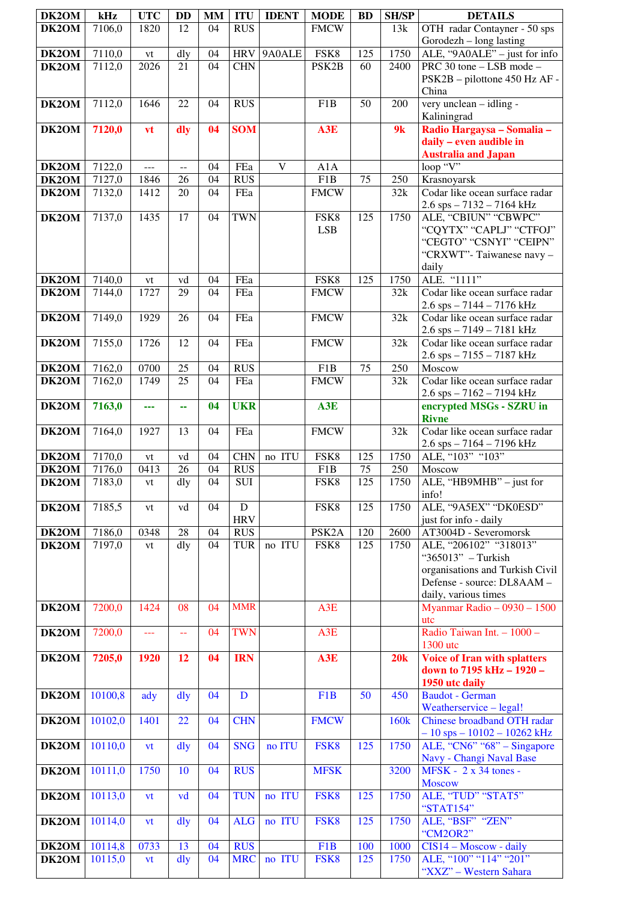| DK2OM              | kHz              | <b>UTC</b>     | <b>DD</b>               | <b>MM</b> | <b>ITU</b>               | <b>IDENT</b> | <b>MODE</b>                | <b>BD</b>       | <b>SH/SP</b>     | <b>DETAILS</b>                                                   |
|--------------------|------------------|----------------|-------------------------|-----------|--------------------------|--------------|----------------------------|-----------------|------------------|------------------------------------------------------------------|
| DK2OM              | 7106,0           | 1820           | 12                      | 04        | <b>RUS</b>               |              | <b>FMCW</b>                |                 | 13k              | OTH radar Contayner - 50 sps                                     |
| DK2OM              | 7110,0           | vt             | dly                     | 04        | <b>HRV</b>               | 9A0ALE       | FSK8                       | 125             | 1750             | Gorodezh - long lasting<br>ALE, "9A0ALE" - just for info         |
| DK2OM              | 7112,0           | 2026           | 21                      | 04        | <b>CHN</b>               |              | PSK2B                      | 60              | 2400             | PRC 30 tone - LSB mode -                                         |
|                    |                  |                |                         |           |                          |              |                            |                 |                  | PSK2B - pilottone 450 Hz AF -                                    |
|                    |                  |                |                         |           |                          |              |                            |                 |                  | China                                                            |
| DK2OM              | 7112,0           | 1646           | 22                      | 04        | <b>RUS</b>               |              | F <sub>1</sub> B           | 50              | 200              | very unclean - idling -<br>Kaliningrad                           |
| DK2OM              | 7120,0           | vt             | dly                     | 04        | <b>SOM</b>               |              | A3E                        |                 | 9k               | Radio Hargaysa - Somalia -                                       |
|                    |                  |                |                         |           |                          |              |                            |                 |                  | daily - even audible in                                          |
| DK2OM              | 7122,0           | $\overline{a}$ | $\overline{a}$          | 04        | FEa                      | $\mathbf{V}$ | A1A                        |                 |                  | <b>Australia and Japan</b><br>loop "V"                           |
| DK2OM              | 7127,0           | 1846           | 26                      | 04        | <b>RUS</b>               |              | F <sub>1</sub> B           | 75              | 250              | Krasnoyarsk                                                      |
| DK2OM              | 7132,0           | 1412           | 20                      | 04        | FEa                      |              | <b>FMCW</b>                |                 | 32k              | Codar like ocean surface radar                                   |
|                    | 7137,0           | 1435           | 17                      | 04        | <b>TWN</b>               |              | FSK8                       | 125             | 1750             | 2.6 sps - 7132 - 7164 kHz<br>ALE, "CBIUN" "CBWPC"                |
| DK2OM              |                  |                |                         |           |                          |              | <b>LSB</b>                 |                 |                  | "CQYTX" "CAPLJ" "CTFOJ"                                          |
|                    |                  |                |                         |           |                          |              |                            |                 |                  | "CEGTO" "CSNYI" "CEIPN"                                          |
|                    |                  |                |                         |           |                          |              |                            |                 |                  | "CRXWT"-Taiwanese navy -                                         |
| $\overline{D}K2OM$ | 7140,0           | vt             | vd                      | 04        | FEa                      |              | FSK8                       | 125             | 1750             | daily<br>ALE. "1111"                                             |
| DK2OM              | 7144,0           | 1727           | 29                      | 04        | FEa                      |              | <b>FMCW</b>                |                 | 32k              | Codar like ocean surface radar                                   |
|                    |                  |                |                         |           |                          |              |                            |                 |                  | $2.6$ sps $- 7144 - 7176$ kHz                                    |
| DK2OM              | 7149,0           | 1929           | 26                      | 04        | FEa                      |              | <b>FMCW</b>                |                 | 32k              | Codar like ocean surface radar                                   |
| DK2OM              | 7155,0           | 1726           | 12                      | 04        | FEa                      |              | <b>FMCW</b>                |                 | 32k              | 2.6 sps - 7149 - 7181 kHz<br>Codar like ocean surface radar      |
|                    |                  |                |                         |           |                          |              |                            |                 |                  | 2.6 sps - 7155 - 7187 kHz                                        |
| DK2OM<br>DK2OM     | 7162,0<br>7162,0 | 0700<br>1749   | 25<br>25                | 04<br>04  | <b>RUS</b><br>FEa        |              | F1B<br><b>FMCW</b>         | $\overline{75}$ | 250<br>32k       | Moscow<br>Codar like ocean surface radar                         |
|                    |                  |                |                         |           |                          |              |                            |                 |                  | $2.6$ sps $-7162 - 7194$ kHz                                     |
| DK2OM              | 7163,0           |                | 44                      | 04        | <b>UKR</b>               |              | A3E                        |                 |                  | encrypted MSGs - SZRU in                                         |
|                    |                  |                |                         |           |                          |              |                            |                 |                  | <b>Rivne</b><br>Codar like ocean surface radar                   |
| DK2OM              | 7164,0           | 1927           | 13                      | 04        | FEa                      |              | <b>FMCW</b>                |                 | 32k              | 2.6 sps - 7164 - 7196 kHz                                        |
| DK2OM              | 7170,0           | vt             | vd                      | 04        | <b>CHN</b>               | no ITU       | FSK8                       | 125             | 1750             | ALE, "103" "103"                                                 |
| DK2OM              | 7176,0           | 0413           | 26                      | 04        | <b>RUS</b>               |              | F1B                        | 75              | 250              | Moscow                                                           |
| DK2OM              | 7183,0           | vt             | $d$ ly                  | 04        | SUI                      |              | FSK8                       | 125             | 1750             | ALE, " $\overline{HB9MHB" - just for}$<br>info!                  |
| DK2OM              | 7185,5           | vt             | vd                      | 04        | $\mathbf D$              |              | FSK8                       | 125             | 1750             | ALE, "9A5EX" "DK0ESD"                                            |
|                    |                  |                |                         |           | <b>HRV</b>               |              |                            |                 |                  | just for info - daily                                            |
| DK2OM<br>DK2OM     | 7186,0<br>7197,0 | 0348<br>vt     | 28<br>dly               | 04<br>04  | <b>RUS</b><br><b>TUR</b> | no ITU       | PSK <sub>2</sub> A<br>FSK8 | 120<br>125      | 2600<br>1750     | AT3004D - Severomorsk<br>ALE, "206102" "318013"                  |
|                    |                  |                |                         |           |                          |              |                            |                 |                  | "365013" - Turkish                                               |
|                    |                  |                |                         |           |                          |              |                            |                 |                  | organisations and Turkish Civil                                  |
|                    |                  |                |                         |           |                          |              |                            |                 |                  | Defense - source: DL8AAM -<br>daily, various times               |
| DK2OM              | 7200,0           | 1424           | 08                      | 04        | <b>MMR</b>               |              | A3E                        |                 |                  | Myanmar Radio $-0930 - 1500$                                     |
|                    |                  |                |                         |           |                          |              |                            |                 |                  | utc                                                              |
| DK2OM              | 7200,0           | $\overline{a}$ | $\mathbb{L} \mathbb{L}$ | 04        | <b>TWN</b>               |              | A3E                        |                 |                  | Radio Taiwan Int. - 1000 -<br>1300 utc                           |
| DK2OM              | 7205,0           | 1920           | 12                      | 04        | <b>IRN</b>               |              | A3E                        |                 | 20k              | <b>Voice of Iran with splatters</b>                              |
|                    |                  |                |                         |           |                          |              |                            |                 |                  | down to 7195 kHz - 1920 -                                        |
| DK2OM              | 10100,8          | ady            | $\frac{d}{dy}$          | 04        | $\mathbf{D}$             |              | F1B                        | $\overline{50}$ | 450              | 1950 utc daily<br><b>Baudot</b> - German                         |
|                    |                  |                |                         |           |                          |              |                            |                 |                  | Weatherservice - legal!                                          |
| DK2OM              | 10102,0          | 1401           | 22                      | 04        | <b>CHN</b>               |              | <b>FMCW</b>                |                 | 160 <sub>k</sub> | Chinese broadband OTH radar                                      |
| DK2OM              | 10110,0          | vt             | $\frac{d}{dy}$          | 04        | <b>SNG</b>               | no ITU       | FSK8                       | 125             | 1750             | $-10$ sps $-10102 - 10262$ kHz<br>ALE, "CN6" " $68"$ – Singapore |
|                    |                  |                |                         |           |                          |              |                            |                 |                  | Navy - Changi Naval Base                                         |
| DK2OM              | 10111,0          | 1750           | 10                      | 04        | <b>RUS</b>               |              | <b>MFSK</b>                |                 | 3200             | $MFSK - 2x34$ tones -                                            |
| DK2OM              | 10113,0          | vt             | vd                      | 04        | <b>TUN</b>               | no ITU       | FSK8                       | 125             | 1750             | <b>Moscow</b><br>ALE, "TUD" "STAT5"                              |
|                    |                  |                |                         |           |                          |              |                            |                 |                  | "STAT154"                                                        |
| DK2OM              | 10114,0          | vt             | $\frac{d}{dy}$          | 04        | <b>ALG</b>               | no ITU       | FSK8                       | 125             | 1750             | ALE, "BSF" "ZEN"                                                 |
| DK2OM              | 10114,8          | 0733           | 13                      | 04        | <b>RUS</b>               |              | F1B                        | 100             | 1000             | "CM2OR2"<br>$CIS14 - Moscow - daily$                             |
| DK2OM              | 10115,0          | <b>vt</b>      | dly                     | 04        | <b>MRC</b>               | no ITU       | FSK8                       | 125             | 1750             | ALE, "100" "114" "201"                                           |
|                    |                  |                |                         |           |                          |              |                            |                 |                  | "XXZ" - Western Sahara                                           |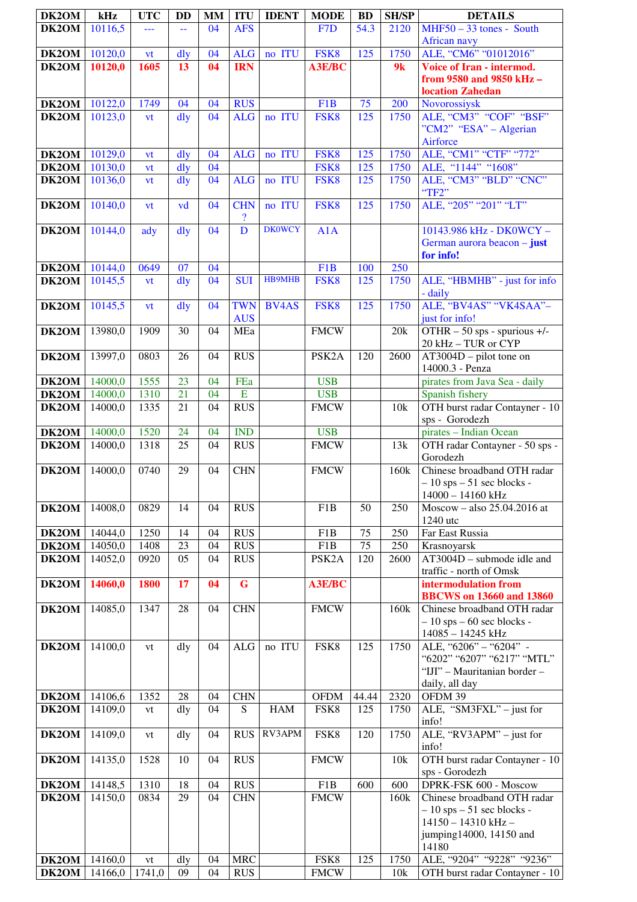| DK2OM              | kHz                | <b>UTC</b>          | <b>DD</b> | <b>MM</b> | <b>ITU</b>               | <b>IDENT</b>  | <b>MODE</b>              | <b>BD</b>    | <b>SH/SP</b> | <b>DETAILS</b>                                   |
|--------------------|--------------------|---------------------|-----------|-----------|--------------------------|---------------|--------------------------|--------------|--------------|--------------------------------------------------|
| DK2OM              | 10116,5            | ---                 | 44        | 04        | <b>AFS</b>               |               | F <sub>7</sub> D         | 54.3         | 2120         | $MHF50 - 33$ tones - South                       |
|                    |                    |                     |           |           |                          |               |                          |              |              | African navy                                     |
| DK2OM              | 10120,0            | vt                  | dly       | 04        | <b>ALG</b>               | no ITU        | FSK8                     | 125          | 1750         | ALE, "CM6" "01012016"                            |
| DK2OM              | 10120,0            | 1605                | 13        | 04        | <b>IRN</b>               |               | <b>A3E/BC</b>            |              | 9k           | Voice of Iran - intermod.                        |
|                    |                    |                     |           |           |                          |               |                          |              |              | from 9580 and 9850 kHz -                         |
|                    |                    |                     |           |           |                          |               |                          |              |              | location Zahedan                                 |
| DK2OM<br>DK2OM     | 10122,0<br>10123,0 | 1749                | 04<br>dly | 04<br>04  | <b>RUS</b><br><b>ALG</b> | no ITU        | F <sub>1</sub> B<br>FSK8 | 75<br>125    | 200<br>1750  | Novorossiysk<br>ALE, "CM3" "COF" "BSF"           |
|                    |                    | vt                  |           |           |                          |               |                          |              |              | "CM2" "ESA" – Algerian                           |
|                    |                    |                     |           |           |                          |               |                          |              |              | Airforce                                         |
| DK2OM              | 10129,0            | vt                  | dly       | 04        | <b>ALG</b>               | no ITU        | FSK8                     | 125          | 1750         | ALE, "CM1" "CTF" "772"                           |
| DK2OM              | 10130,0            | vt                  | dly       | 04        |                          |               | FSK8                     | 125          | 1750         | ALE, "1144" "1608"                               |
| DK2OM              | 10136,0            | vt                  | dly       | 04        | <b>ALG</b>               | no ITU        | FSK8                     | 125          | 1750         | ALE, "CM3" "BLD" "CNC"                           |
|                    |                    |                     |           |           |                          |               |                          |              |              | "TF2"                                            |
| DK2OM              | 10140,0            | <b>vt</b>           | vd        | 04        | <b>CHN</b>               | no ITU        | FSK8                     | 125          | 1750         | ALE, "205" "201" "LT"                            |
|                    |                    |                     |           |           | $\boldsymbol{\eta}$      |               |                          |              |              |                                                  |
| DK2OM              | 10144,0            | ady                 | dly       | 04        | $\overline{D}$           | <b>DK0WCY</b> | A1A                      |              |              | 10143.986 kHz - DK0WCY -                         |
|                    |                    |                     |           |           |                          |               |                          |              |              | German aurora beacon - just                      |
|                    |                    |                     |           |           |                          |               |                          |              |              | for info!                                        |
| DK2OM              | 10144,0            | 0649                | 07        | 04        |                          |               | F <sub>1</sub> B         | 100          | 250          |                                                  |
| DK2OM              | 10145,5            | vt                  | dly       | 04        | <b>SUI</b>               | <b>HB9MHB</b> | FSK8                     | 125          | 1750         | ALE, "HBMHB" - just for info                     |
|                    |                    |                     |           |           |                          |               |                          |              |              | - daily                                          |
| DK2OM              | 10145,5            | vt                  | dly       | 04        | <b>TWN</b>               | <b>BV4AS</b>  | FSK8                     | 125          | 1750         | ALE, "BV4AS" "VK4SAA"-                           |
|                    |                    |                     |           |           | <b>AUS</b>               |               |                          |              |              | just for info!                                   |
| DK2OM              | 13980,0            | 1909                | 30        | 04        | MEa                      |               | <b>FMCW</b>              |              | 20k          | OTHR $-50$ sps - spurious $+/-$                  |
| DK2OM              | 13997,0            | 0803                | 26        | 04        | <b>RUS</b>               |               | PSK <sub>2</sub> A       | 120          | 2600         | 20 kHz - TUR or CYP<br>$AT3004D$ – pilot tone on |
|                    |                    |                     |           |           |                          |               |                          |              |              | 14000.3 - Penza                                  |
| DK2OM              | 14000,0            | 1555                | 23        | 04        | FEa                      |               | <b>USB</b>               |              |              | pirates from Java Sea - daily                    |
| $\overline{DK2OM}$ | 14000,0            | 1310                | 21        | 04        | E                        |               | <b>USB</b>               |              |              | Spanish fishery                                  |
| DK2OM              | 14000,0            | 1335                | 21        | 04        | <b>RUS</b>               |               | <b>FMCW</b>              |              | 10k          | OTH burst radar Contayner - 10                   |
|                    |                    |                     |           |           |                          |               |                          |              |              | sps - Gorodezh                                   |
| DK2OM              | 14000,0            | 1520                | 24        | 04        | <b>IND</b>               |               | <b>USB</b>               |              |              | pirates - Indian Ocean                           |
| DK2OM              | 14000,0            | 1318                | 25        | 04        | <b>RUS</b>               |               | <b>FMCW</b>              |              | 13k          | OTH radar Contayner - 50 sps -                   |
|                    |                    |                     |           |           |                          |               |                          |              |              | Gorodezh                                         |
| DK2OM              | 14000,0            | 0740                | 29        | 04        | <b>CHN</b>               |               | <b>FMCW</b>              |              | 160k         | Chinese broadband OTH radar                      |
|                    |                    |                     |           |           |                          |               |                          |              |              | $-10$ sps $-51$ sec blocks -                     |
|                    |                    |                     |           |           |                          |               |                          |              |              | 14000 – 14160 kHz                                |
| DK2OM              | 14008,0            | 0829                | 14        | 04        | <b>RUS</b>               |               | F1B                      | 50           | 250          | Moscow - also 25.04.2016 at<br>1240 utc          |
| DK2OM              | 14044,0            | 1250                | 14        | 04        | <b>RUS</b>               |               | F1B                      | 75           | 250          | Far East Russia                                  |
| DK2OM              | 14050,0            | 1408                | 23        | 04        | <b>RUS</b>               |               | F1B                      | 75           | 250          | Krasnoyarsk                                      |
| DK2OM              | 14052,0            | 0920                | 05        | 04        | <b>RUS</b>               |               | PSK <sub>2</sub> A       | 120          | 2600         | AT3004D - submode idle and                       |
|                    |                    |                     |           |           |                          |               |                          |              |              | traffic - north of Omsk                          |
| DK2OM              | 14060,0            | 1800                | 17        | 04        | $\mathbf G$              |               | <b>A3E/BC</b>            |              |              | intermodulation from                             |
|                    |                    |                     |           |           |                          |               |                          |              |              | <b>BBCWS</b> on 13660 and 13860                  |
| DK2OM              | 14085,0            | 1347                | 28        | 04        | <b>CHN</b>               |               | <b>FMCW</b>              |              | 160k         | Chinese broadband OTH radar                      |
|                    |                    |                     |           |           |                          |               |                          |              |              | $-10$ sps $-60$ sec blocks -                     |
|                    |                    |                     |           |           |                          |               |                          |              |              | 14085 - 14245 kHz                                |
| DK2OM              | 14100,0            | vt                  | dly       | 04        | $\rm ALG$                | no ITU        | FSK8                     | 125          | 1750         | ALE, "6206" - "6204" -                           |
|                    |                    |                     |           |           |                          |               |                          |              |              | "6202" "6207" "6217" "MTL"                       |
|                    |                    |                     |           |           |                          |               |                          |              |              | "IJI" - Mauritanian border -                     |
|                    |                    |                     |           |           |                          |               |                          |              |              | daily, all day                                   |
| DK2OM<br>DK2OM     | 14106,6<br>14109,0 | 1352                | 28<br>dly | 04<br>04  | <b>CHN</b><br>S          | <b>HAM</b>    | <b>OFDM</b><br>FSK8      | 44.44<br>125 | 2320<br>1750 | OFDM 39<br>ALE, "SM3FXL" - just for              |
|                    |                    | vt                  |           |           |                          |               |                          |              |              | info!                                            |
| DK2OM              | 14109,0            | vt                  | dly       | 04        | <b>RUS</b>               | RV3APM        | FSK8                     | 120          | 1750         | ALE, "RV3APM" - just for                         |
|                    |                    |                     |           |           |                          |               |                          |              |              | info!                                            |
| DK2OM              | 14135,0            | 1528                | 10        | 04        | <b>RUS</b>               |               | <b>FMCW</b>              |              | 10k          | OTH burst radar Contayner - 10                   |
|                    |                    |                     |           |           |                          |               |                          |              |              | sps - Gorodezh                                   |
| DK2OM              | 14148,5            | 1310                | 18        | 04        | <b>RUS</b>               |               | F1B                      | 600          | 600          | DPRK-FSK 600 - Moscow                            |
| DK2OM              | 14150,0            | 0834                | 29        | 04        | <b>CHN</b>               |               | <b>FMCW</b>              |              | 160k         | Chinese broadband OTH radar                      |
|                    |                    |                     |           |           |                          |               |                          |              |              | $-10$ sps $-51$ sec blocks -                     |
|                    |                    |                     |           |           |                          |               |                          |              |              | 14150 - 14310 kHz -                              |
|                    |                    |                     |           |           |                          |               |                          |              |              | jumping14000, 14150 and                          |
|                    |                    |                     |           |           |                          |               |                          |              |              | 14180                                            |
| DK2OM              | 14160,0            | vt                  | dly       | 04        | <b>MRC</b>               |               | FSK8                     | 125          | 1750         | ALE, "9204" "9228" "9236"                        |
| DK2OM              | 14166,0            | $\overline{1741,0}$ | 09        | 04        | <b>RUS</b>               |               | <b>FMCW</b>              |              | 10k          | OTH burst radar Contayner - 10                   |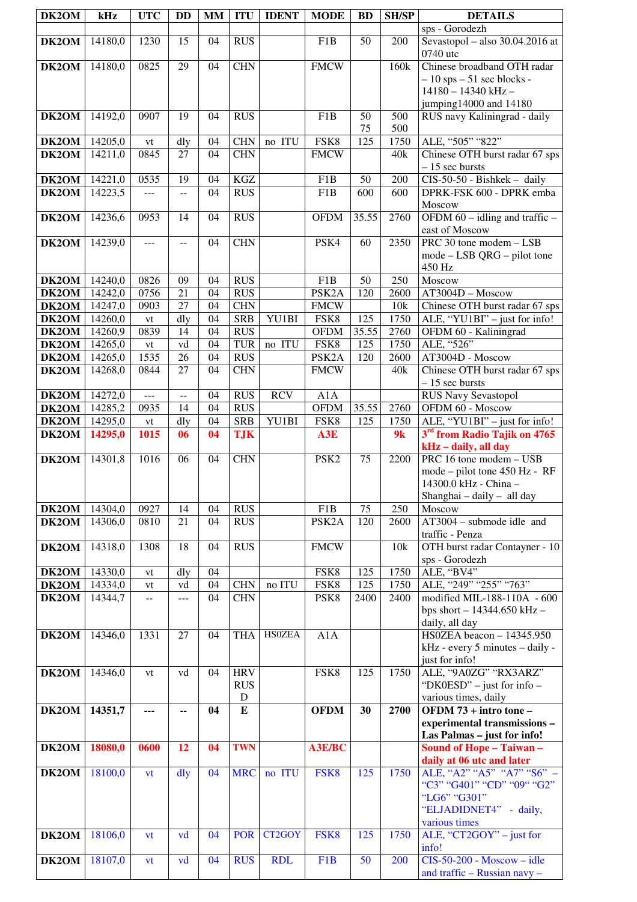| DK2OM          | kHz                | <b>UTC</b>                  | <b>DD</b>      | <b>MM</b> | <b>ITU</b>               | <b>IDENT</b>  | <b>MODE</b>                            | <b>BD</b>        | <b>SH/SP</b> | <b>DETAILS</b>                                                 |
|----------------|--------------------|-----------------------------|----------------|-----------|--------------------------|---------------|----------------------------------------|------------------|--------------|----------------------------------------------------------------|
| DK2OM          | 14180,0            | 1230                        | 15             | 04        | <b>RUS</b>               |               | F <sub>1</sub> B                       | 50               | 200          | sps - Gorodezh<br>Sevastopol - also 30.04.2016 at              |
|                |                    |                             |                |           |                          |               |                                        |                  |              | 0740 utc                                                       |
| DK2OM          | 14180,0            | 0825                        | 29             | 04        | <b>CHN</b>               |               | <b>FMCW</b>                            |                  | 160k         | Chinese broadband OTH radar                                    |
|                |                    |                             |                |           |                          |               |                                        |                  |              | $-10$ sps $-51$ sec blocks -                                   |
|                |                    |                             |                |           |                          |               |                                        |                  |              | 14180 - 14340 kHz -<br>jumping14000 and 14180                  |
| DK2OM          | 14192,0            | 0907                        | 19             | 04        | <b>RUS</b>               |               | F <sub>1</sub> B                       | 50               | 500          | RUS navy Kaliningrad - daily                                   |
|                |                    |                             |                |           |                          |               |                                        | 75               | 500          |                                                                |
| DK2OM          | 14205,0            | ${\it vt}$                  | dly            | 04        | <b>CHN</b>               | no ITU        | FSK8                                   | $\overline{125}$ | 1750         | ALE, "505" "822"                                               |
| DK2OM          | 14211,0            | 0845                        | 27             | 04        | <b>CHN</b>               |               | <b>FMCW</b>                            |                  | 40k          | Chinese OTH burst radar 67 sps<br>$-15$ sec bursts             |
| DK2OM          | 14221,0            | 0535                        | 19             | 04        | KGZ                      |               | F <sub>1</sub> B                       | 50               | 200          | CIS-50-50 - Bishkek - daily                                    |
| DK2OM          | 14223,5            | $---$                       | $-$            | 04        | <b>RUS</b>               |               | F1B                                    | 600              | 600          | DPRK-FSK 600 - DPRK emba                                       |
|                | 14236,6            | 0953                        | 14             | 04        | <b>RUS</b>               |               | <b>OFDM</b>                            | 35.55            | 2760         | Moscow<br>OFDM $60 -$ idling and traffic $-$                   |
| DK2OM          |                    |                             |                |           |                          |               |                                        |                  |              | east of Moscow                                                 |
| DK2OM          | 14239,0            | ---                         | --             | 04        | <b>CHN</b>               |               | PSK4                                   | 60               | 2350         | PRC 30 tone modem - LSB                                        |
|                |                    |                             |                |           |                          |               |                                        |                  |              | mode - LSB QRG - pilot tone                                    |
| DK2OM          | 14240,0            | 0826                        | 09             | 04        | <b>RUS</b>               |               | F <sub>1</sub> B                       | 50               | 250          | 450 Hz<br>Moscow                                               |
| DK2OM          | 14242,0            | 0756                        | 21             | 04        | <b>RUS</b>               |               | PSK <sub>2</sub> A                     | 120              | 2600         | AT3004D - Moscow                                               |
| DK2OM          | 14247,0            | 0903                        | 27             | 04        | <b>CHN</b>               |               | <b>FMCW</b>                            |                  | 10k          | Chinese OTH burst radar 67 sps                                 |
| DK2OM          | 14260,0            | $\mathrm{vt}$               | dly            | 04        | <b>SRB</b>               | YU1BI         | FSK8                                   | 125              | 1750         | ALE, "YU1BI" - just for info!                                  |
| DK2OM<br>DK2OM | 14260,9<br>14265,0 | 0839<br>vt                  | 14<br>vd       | 04<br>04  | <b>RUS</b><br><b>TUR</b> | no ITU        | <b>OFDM</b><br>FSK8                    | 35.55<br>125     | 2760<br>1750 | OFDM 60 - Kaliningrad<br>ALE, "526"                            |
| DK2OM          | 14265,0            | 1535                        | 26             | 04        | <b>RUS</b>               |               | PSK <sub>2</sub> A                     | 120              | 2600         | AT3004D - Moscow                                               |
| DK2OM          | 14268,0            | 0844                        | 27             | 04        | <b>CHN</b>               |               | <b>FMCW</b>                            |                  | 40k          | Chinese OTH burst radar 67 sps                                 |
|                |                    |                             |                |           |                          |               |                                        |                  |              | $-15$ sec bursts                                               |
| DK2OM<br>DK2OM | 14272,0<br>14285,2 | $\overline{a}$<br>0935      | --<br>14       | 04<br>04  | <b>RUS</b><br><b>RUS</b> | <b>RCV</b>    | A1A<br><b>OFDM</b>                     | 35.55            | 2760         | <b>RUS Navy Sevastopol</b><br>OFDM 60 - Moscow                 |
| DK2OM          | 14295,0            | vt                          | dly            | 04        | <b>SRB</b>               | YU1BI         | FSK8                                   | 125              | 1750         | ALE, "YU1BI" - just for info!                                  |
| DK2OM          | 14295,0            | 1015                        | 06             | 04        | <b>TJK</b>               |               | A3E                                    |                  | 9k           | 3rd from Radio Tajik on 4765                                   |
|                |                    |                             |                |           |                          |               |                                        |                  |              | kHz - daily, all day                                           |
| DK2OM          | 14301,8            | 1016                        | 06             | 04        | <b>CHN</b>               |               | PSK <sub>2</sub>                       | 75               | 2200         | PRC 16 tone modem - USB<br>mode – pilot tone 450 Hz - RF       |
|                |                    |                             |                |           |                          |               |                                        |                  |              | 14300.0 kHz - China -                                          |
|                |                    |                             |                |           |                          |               |                                        |                  |              | Shanghai - daily - all day                                     |
| DK2OM<br>DK2OM | 14304,0<br>14306,0 | 0927<br>0810                | 14<br>21       | 04<br>04  | <b>RUS</b><br><b>RUS</b> |               | F <sub>1</sub> B<br>PSK <sub>2</sub> A | 75<br>120        | 250<br>2600  | Moscow<br>$AT3004$ – submode idle and                          |
|                |                    |                             |                |           |                          |               |                                        |                  |              | traffic - Penza                                                |
| DK2OM          | 14318,0            | 1308                        | 18             | 04        | <b>RUS</b>               |               | <b>FMCW</b>                            |                  | 10k          | OTH burst radar Contayner - 10                                 |
|                |                    |                             |                |           |                          |               |                                        |                  |              | sps - Gorodezh                                                 |
| DK2OM<br>DK2OM | 14330,0<br>14334,0 | vt<br>vt                    | dly<br>vd      | 04<br>04  | <b>CHN</b>               | no ITU        | FSK8<br>FSK8                           | 125<br>125       | 1750<br>1750 | ALE, "BV4"<br>ALE, "249" "255" "763"                           |
| DK2OM          | 14344,7            | $\mathbb{H} \to \mathbb{H}$ | $ -$           | 04        | <b>CHN</b>               |               | PSK8                                   | 2400             | 2400         | modified MIL-188-110A - 600                                    |
|                |                    |                             |                |           |                          |               |                                        |                  |              | bps short $- 14344.650$ kHz $-$                                |
| DK2OM          | 14346,0            | 1331                        | 27             | 04        | <b>THA</b>               | <b>HSOZEA</b> | A1A                                    |                  |              | daily, all day<br>HS0ZEA beacon - 14345.950                    |
|                |                    |                             |                |           |                          |               |                                        |                  |              | kHz - every 5 minutes - daily -                                |
|                |                    |                             |                |           |                          |               |                                        |                  |              | just for info!                                                 |
| DK2OM          | 14346,0            | vt                          | vd             | 04        | <b>HRV</b>               |               | FSK8                                   | 125              | 1750         | ALE, "9A0ZG" "RX3ARZ"                                          |
|                |                    |                             |                |           | <b>RUS</b><br>${\bf D}$  |               |                                        |                  |              | "DK0ESD" – just for info –<br>various times, daily             |
| DK2OM          | 14351,7            | ---                         | --             | 04        | $\overline{E}$           |               | <b>OFDM</b>                            | 30               | 2700         | OFDM 73 + intro tone -                                         |
|                |                    |                             |                |           |                          |               |                                        |                  |              | experimental transmissions -                                   |
| DK2OM          | 18080,0            | 0600                        | 12             | 04        | <b>TWN</b>               |               | A3E/BC                                 |                  |              | Las Palmas - just for info!<br><b>Sound of Hope - Taiwan -</b> |
|                |                    |                             |                |           |                          |               |                                        |                  |              | daily at 06 utc and later                                      |
| DK2OM          | 18100,0            | vt                          | $\frac{d}{dy}$ | 04        | <b>MRC</b>               | no ITU        | FSK8                                   | 125              | 1750         | ALE, "A2" "A5" "A7" "S6" -                                     |
|                |                    |                             |                |           |                          |               |                                        |                  |              | "C3" "G401" "CD" "09" "G2"                                     |
|                |                    |                             |                |           |                          |               |                                        |                  |              | "LG6" "G301"<br>"ELJADIDNET4" - daily,                         |
|                |                    |                             |                |           |                          |               |                                        |                  |              | various times                                                  |
| DK2OM          | 18106,0            | vt                          | vd             | 04        | <b>POR</b>               | CT2GOY        | FSK8                                   | 125              | 1750         | ALE, "CT2GOY" – just for                                       |
| DK2OM          | 18107,0            |                             | vd             | 04        | <b>RUS</b>               | <b>RDL</b>    | F <sub>1</sub> B                       | 50               | 200          | info!<br>$CIS-50-200 - Moscow - idle$                          |
|                |                    | vt                          |                |           |                          |               |                                        |                  |              | and traffic - Russian navy -                                   |
|                |                    |                             |                |           |                          |               |                                        |                  |              |                                                                |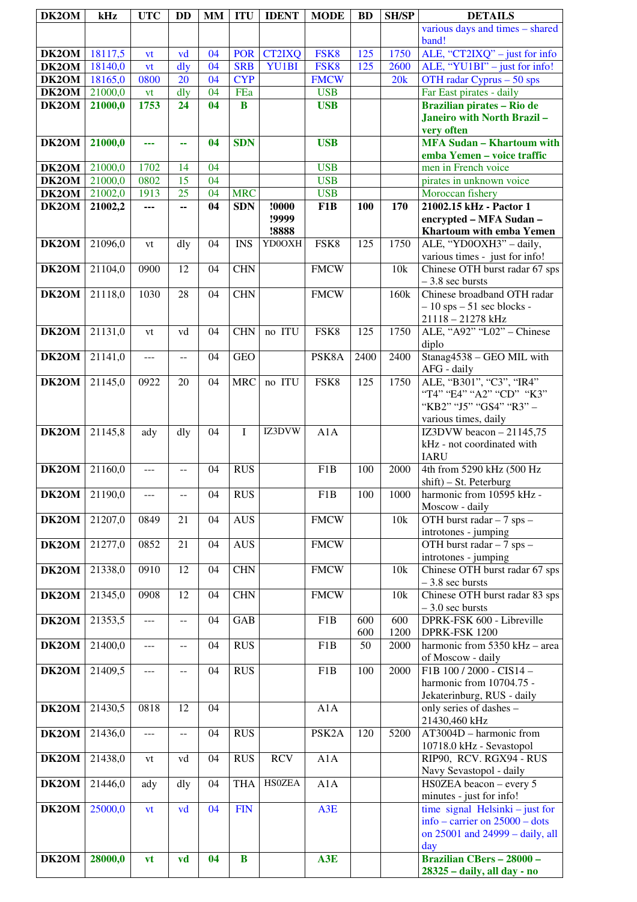| DK2OM              | kHz                | <b>UTC</b> | <b>DD</b> | <b>MM</b> | <b>ITU</b>      | <b>IDENT</b>   | <b>MODE</b>              | <b>BD</b> | <b>SH/SP</b> | <b>DETAILS</b>                                                   |
|--------------------|--------------------|------------|-----------|-----------|-----------------|----------------|--------------------------|-----------|--------------|------------------------------------------------------------------|
|                    |                    |            |           |           |                 |                |                          |           |              | various days and times - shared                                  |
| DK2OM              | 18117,5            | vt         | vd        | 04        | <b>POR</b>      | <b>CT2IXQ</b>  | FSK8                     | 125       | 1750         | band!<br>ALE, "CT2IXQ" - just for info                           |
| DK2OM              | 18140,0            | vt         | dly       | 04        | <b>SRB</b>      | <b>YU1BI</b>   | FSK8                     | 125       | 2600         | ALE, "YU1BI" - just for info!                                    |
| DK2OM              | 18165,0            | 0800       | 20        | 04        | <b>CYP</b>      |                | <b>FMCW</b>              |           | 20k          | OTH radar Cyprus - 50 sps                                        |
| DK2OM<br>DK2OM     | 21000,0<br>21000,0 | vt<br>1753 | dly<br>24 | 04<br>04  | FEa<br>$\bf{B}$ |                | <b>USB</b><br><b>USB</b> |           |              | Far East pirates - daily<br><b>Brazilian pirates - Rio de</b>    |
|                    |                    |            |           |           |                 |                |                          |           |              | Janeiro with North Brazil-                                       |
|                    |                    |            |           |           |                 |                |                          |           |              | very often                                                       |
| DK2OM              | 21000,0            | ---        | 44        | 04        | <b>SDN</b>      |                | <b>USB</b>               |           |              | <b>MFA Sudan - Khartoum with</b><br>emba Yemen - voice traffic   |
| DK2OM              | 21000,0            | 1702       | 14        | 04        |                 |                | <b>USB</b>               |           |              | men in French voice                                              |
| DK2OM              | 21000,0            | 0802       | 15        | 04        |                 |                | <b>USB</b>               |           |              | pirates in unknown voice                                         |
| DK2OM              | 21002,0            | 1913       | 25        | 04        | <b>MRC</b>      |                | <b>USB</b>               |           |              | Moroccan fishery                                                 |
| DK2OM              | 21002,2            | ---        | Ξ.        | 04        | <b>SDN</b>      | !0000<br>!9999 | F1B                      | 100       | 170          | 21002.15 kHz - Pactor 1<br>encrypted - MFA Sudan -               |
|                    |                    |            |           |           |                 | !8888          |                          |           |              | Khartoum with emba Yemen                                         |
| DK2OM              | 21096,0            | vt         | dly       | 04        | <b>INS</b>      | YD0OXH         | FSK8                     | 125       | 1750         | ALE, "YD0OXH3" - daily,                                          |
| DK2OM              | 21104,0            | 0900       | 12        | 04        | <b>CHN</b>      |                | <b>FMCW</b>              |           | 10k          | various times - just for info!<br>Chinese OTH burst radar 67 sps |
|                    |                    |            |           |           |                 |                |                          |           |              | $-3.8$ sec bursts                                                |
| DK2OM              | 21118,0            | 1030       | 28        | 04        | <b>CHN</b>      |                | <b>FMCW</b>              |           | 160k         | Chinese broadband OTH radar                                      |
|                    |                    |            |           |           |                 |                |                          |           |              | $-10$ sps $-51$ sec blocks -<br>21118 - 21278 kHz                |
| DK2OM              | 21131,0            | vt         | vd        | 04        | <b>CHN</b>      | no ITU         | FSK8                     | 125       | 1750         | ALE, "A92" "L02" - Chinese                                       |
|                    |                    |            |           |           |                 |                |                          |           |              | diplo                                                            |
| DK2OM              | 21141,0            | $ -$       | --        | 04        | <b>GEO</b>      |                | PSK8A                    | 2400      | 2400         | Stanag4538 - GEO MIL with<br>AFG - daily                         |
| DK2OM              | 21145,0            | 0922       | 20        | 04        | <b>MRC</b>      | no ITU         | FSK8                     | 125       | 1750         | ALE, "B301", "C3", "IR4"                                         |
|                    |                    |            |           |           |                 |                |                          |           |              | "T4" "E4" "A2" "CD" "K3"                                         |
|                    |                    |            |           |           |                 |                |                          |           |              | "KB2" "J5" "GS4" "R3" -<br>various times, daily                  |
| DK2OM              | 21145,8            | ady        | dly       | 04        | L               | IZ3DVW         | A1A                      |           |              | IZ3DVW beacon $-21145,75$                                        |
|                    |                    |            |           |           |                 |                |                          |           |              | kHz - not coordinated with<br><b>IARU</b>                        |
| DK2OM              | 21160,0            | $---$      | $-1$      | 04        | <b>RUS</b>      |                | F <sub>1</sub> B         | 100       | 2000         | 4th from 5290 kHz (500 Hz                                        |
|                    |                    |            |           |           |                 |                |                          |           |              | shift) - St. Peterburg                                           |
| DK <sub>2</sub> OM | 21190,0            | $---$      | --        | 04        | <b>RUS</b>      |                | F1B                      | 100       | 1000         | harmonic from 10595 kHz -<br>Moscow - daily                      |
| DK2OM              | 21207,0            | 0849       | 21        | 04        | <b>AUS</b>      |                | <b>FMCW</b>              |           | 10k          | OTH burst radar - 7 sps -                                        |
|                    |                    |            |           |           |                 |                |                          |           |              | introtones - jumping                                             |
| DK2OM              | 21277,0            | 0852       | 21        | 04        | <b>AUS</b>      |                | <b>FMCW</b>              |           |              | OTH burst radar - 7 sps -<br>introtones - jumping                |
| DK2OM              | 21338,0            | 0910       | 12        | 04        | <b>CHN</b>      |                | <b>FMCW</b>              |           | 10k          | Chinese OTH burst radar 67 sps                                   |
|                    |                    |            |           |           |                 |                |                          |           |              | $-3.8$ sec bursts                                                |
| DK2OM              | 21345,0            | 0908       | 12        | 04        | <b>CHN</b>      |                | <b>FMCW</b>              |           | 10k          | Chinese OTH burst radar 83 sps<br>$-3.0$ sec bursts              |
| DK2OM              | 21353,5            | $- - -$    | --        | 04        | GAB             |                | F1B                      | 600       | 600          | DPRK-FSK 600 - Libreville                                        |
|                    |                    |            |           |           |                 |                |                          | 600       | 1200         | DPRK-FSK 1200                                                    |
| DK2OM              | 21400,0            | $---$      | --        | 04        | RUS             |                | F1B                      | 50        | 2000         | harmonic from 5350 kHz - area<br>of Moscow - daily               |
| DK2OM              | 21409,5            | ---        | --        | 04        | <b>RUS</b>      |                | F1B                      | 100       | 2000         | F1B 100 / 2000 - CIS14 -                                         |
|                    |                    |            |           |           |                 |                |                          |           |              | harmonic from 10704.75 -                                         |
| DK2OM              | 21430,5            | 0818       | 12        | 04        |                 |                | A1A                      |           |              | Jekaterinburg, RUS - daily<br>only series of dashes -            |
|                    |                    |            |           |           |                 |                |                          |           |              | 21430,460 kHz                                                    |
| DK2OM              | 21436,0            | $\cdots$   | --        | 04        | <b>RUS</b>      |                | PSK <sub>2</sub> A       | 120       | 5200         | AT3004D - harmonic from                                          |
| DK2OM              | 21438,0            | vt         | vd        | 04        | <b>RUS</b>      | <b>RCV</b>     | A1A                      |           |              | 10718.0 kHz - Sevastopol<br>RIP90, RCV. RGX94 - RUS              |
|                    |                    |            |           |           |                 |                |                          |           |              | Navy Sevastopol - daily                                          |
| DK2OM              | 21446,0            | ady        | dly       | 04        | <b>THA</b>      | <b>HSOZEA</b>  | A1A                      |           |              | HS0ZEA beacon - every 5                                          |
| DK2OM              | 25000,0            | <b>vt</b>  | vd        | 04        | <b>FIN</b>      |                | A3E                      |           |              | minutes - just for info!<br>time signal Helsinki – just for      |
|                    |                    |            |           |           |                 |                |                          |           |              | info – carrier on $25000$ – dots                                 |
|                    |                    |            |           |           |                 |                |                          |           |              | on 25001 and 24999 - daily, all                                  |
| DK2OM              | 28000,0            | vt         | vd        | 04        | $\bf{B}$        |                | A3E                      |           |              | day<br><b>Brazilian CBers - 28000 -</b>                          |
|                    |                    |            |           |           |                 |                |                          |           |              | 28325 - daily, all day - no                                      |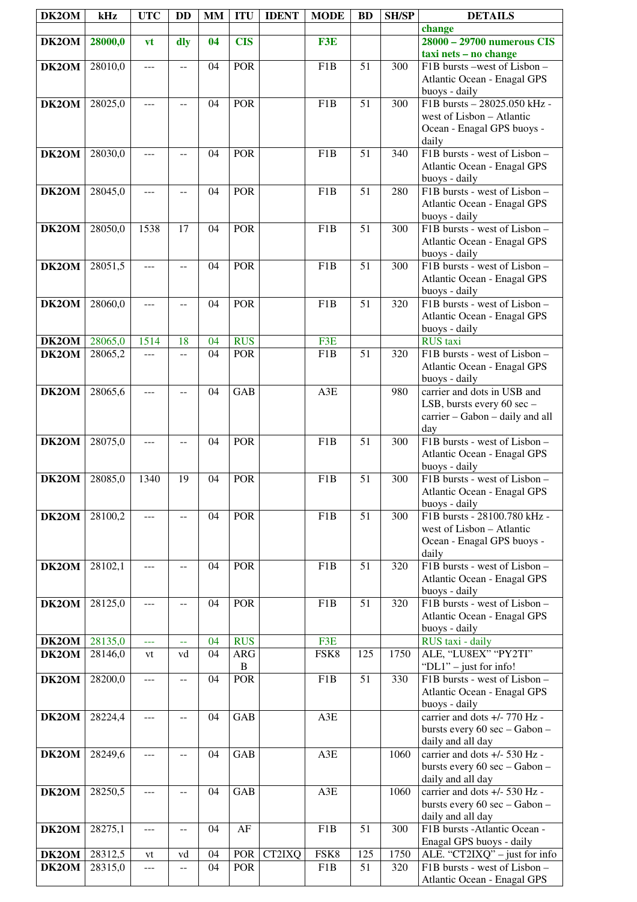| DK2OM | kHz     | <b>UTC</b> | <b>DD</b>      | MM       | <b>ITU</b> | <b>IDENT</b> | <b>MODE</b>      | <b>BD</b>       | <b>SH/SP</b> | <b>DETAILS</b>                                                    |
|-------|---------|------------|----------------|----------|------------|--------------|------------------|-----------------|--------------|-------------------------------------------------------------------|
|       |         |            |                |          |            |              |                  |                 |              | change<br>28000 - 29700 numerous CIS                              |
| DK2OM | 28000,0 | vt         | dly            | 04       | <b>CIS</b> |              | F3E              |                 |              | taxi nets - no change                                             |
| DK2OM | 28010,0 | ---        | $-$            | 04       | <b>POR</b> |              | F1B              | 51              | 300          | F1B bursts -west of Lisbon -                                      |
|       |         |            |                |          |            |              |                  |                 |              | Atlantic Ocean - Enagal GPS                                       |
|       |         |            |                |          |            |              |                  |                 |              | buoys - daily                                                     |
| DK2OM | 28025,0 | ---        | $-$            | 04       | <b>POR</b> |              | F1B              | 51              | 300          | F1B bursts - 28025.050 kHz -                                      |
|       |         |            |                |          |            |              |                  |                 |              | west of Lisbon - Atlantic                                         |
|       |         |            |                |          |            |              |                  |                 |              | Ocean - Enagal GPS buoys -                                        |
| DK2OM | 28030,0 | ---        | $- -$          | 04       | POR        |              | F <sub>1</sub> B | 51              | 340          | daily<br>F1B bursts - west of Lisbon -                            |
|       |         |            |                |          |            |              |                  |                 |              | Atlantic Ocean - Enagal GPS                                       |
|       |         |            |                |          |            |              |                  |                 |              | buoys - daily                                                     |
| DK2OM | 28045,0 | $- - -$    | $-$            | 04       | POR        |              | F1B              | $\overline{51}$ | 280          | F1B bursts - west of Lisbon -                                     |
|       |         |            |                |          |            |              |                  |                 |              | Atlantic Ocean - Enagal GPS                                       |
|       |         |            |                |          |            |              |                  |                 |              | buoys - daily                                                     |
| DK2OM | 28050,0 | 1538       | 17             | 04       | <b>POR</b> |              | F1B              | 51              | 300          | F1B bursts - west of Lisbon -<br>Atlantic Ocean - Enagal GPS      |
|       |         |            |                |          |            |              |                  |                 |              | buoys - daily                                                     |
| DK2OM | 28051,5 | ---        | --             | 04       | <b>POR</b> |              | F <sub>1</sub> B | $\overline{51}$ | 300          | F1B bursts - west of Lisbon -                                     |
|       |         |            |                |          |            |              |                  |                 |              | <b>Atlantic Ocean - Enagal GPS</b>                                |
|       |         |            |                |          |            |              |                  |                 |              | buoys - daily                                                     |
| DK2OM | 28060,0 | ---        | --             | 04       | POR        |              | $\overline{F1B}$ | $\overline{51}$ | 320          | F1B bursts - west of Lisbon -                                     |
|       |         |            |                |          |            |              |                  |                 |              | Atlantic Ocean - Enagal GPS<br>buoys - daily                      |
| DK2OM | 28065,0 | 1514       | 18             | 04       | <b>RUS</b> |              | F3E              |                 |              | <b>RUS</b> taxi                                                   |
| DK2OM | 28065,2 | ---        | $-$            | 04       | <b>POR</b> |              | F <sub>1</sub> B | 51              | 320          | F1B bursts - west of Lisbon -                                     |
|       |         |            |                |          |            |              |                  |                 |              | Atlantic Ocean - Enagal GPS                                       |
|       |         |            |                |          |            |              |                  |                 |              | buoys - daily                                                     |
| DK2OM | 28065,6 | ---        | $-$            | 04       | <b>GAB</b> |              | A3E              |                 | 980          | carrier and dots in USB and                                       |
|       |         |            |                |          |            |              |                  |                 |              | LSB, bursts every 60 sec -<br>carrier - Gabon - daily and all     |
|       |         |            |                |          |            |              |                  |                 |              | day                                                               |
| DK2OM | 28075,0 | ---        | --             | 04       | <b>POR</b> |              | F1B              | 51              | 300          | F1B bursts - west of Lisbon -                                     |
|       |         |            |                |          |            |              |                  |                 |              | Atlantic Ocean - Enagal GPS                                       |
|       |         |            |                | 04       |            |              |                  |                 |              | buoys - daily                                                     |
| DK2OM | 28085,0 | 1340       | 19             |          | POR        |              | F1B              | 51              | 300          | F1B bursts - west of Lisbon -<br>Atlantic Ocean - Enagal GPS      |
|       |         |            |                |          |            |              |                  |                 |              | buoys - daily                                                     |
| DK2OM | 28100,2 | ---        | $-$            | 04       | <b>POR</b> |              | F1B              | 51              | 300          | F1B bursts - 28100.780 kHz -                                      |
|       |         |            |                |          |            |              |                  |                 |              | west of Lisbon - Atlantic                                         |
|       |         |            |                |          |            |              |                  |                 |              | Ocean - Enagal GPS buoys -                                        |
| DK2OM | 28102,1 | ---        | $-$            | 04       | <b>POR</b> |              | F <sub>1</sub> B | 51              | 320          | daily<br>F1B bursts - west of Lisbon -                            |
|       |         |            |                |          |            |              |                  |                 |              | Atlantic Ocean - Enagal GPS                                       |
|       |         |            |                |          |            |              |                  |                 |              | buoys - daily                                                     |
| DK2OM | 28125,0 | $---$      | $- -$          | 04       | <b>POR</b> |              | F1B              | 51              | 320          | F1B bursts - west of Lisbon -                                     |
|       |         |            |                |          |            |              |                  |                 |              | Atlantic Ocean - Enagal GPS                                       |
| DK2OM | 28135,0 |            |                | 04       | <b>RUS</b> |              | F3E              |                 |              | buoys - daily<br>RUS taxi - daily                                 |
| DK2OM | 28146,0 | 444<br>vt  | 44<br>vd       | 04       | <b>ARG</b> |              | FSK8             | 125             | 1750         | ALE, "LU8EX" "PY2TI"                                              |
|       |         |            |                |          | B          |              |                  |                 |              | "DL1" - just for info!                                            |
| DK2OM | 28200,0 | $- - -$    | $- -$          | 04       | <b>POR</b> |              | F1B              | $\overline{51}$ | 330          | F1B bursts - west of Lisbon -                                     |
|       |         |            |                |          |            |              |                  |                 |              | Atlantic Ocean - Enagal GPS                                       |
| DK2OM | 28224,4 | ---        | $\overline{a}$ | 04       | GAB        |              | A3E              |                 |              | buoys - daily<br>carrier and dots +/- 770 Hz -                    |
|       |         |            |                |          |            |              |                  |                 |              | bursts every 60 sec - Gabon -                                     |
|       |         |            |                |          |            |              |                  |                 |              | daily and all day                                                 |
| DK2OM | 28249,6 | ---        | $-$            | 04       | <b>GAB</b> |              | A3E              |                 | 1060         | carrier and dots +/- 530 Hz -                                     |
|       |         |            |                |          |            |              |                  |                 |              | bursts every 60 sec - Gabon -                                     |
| DK2OM | 28250,5 | ---        | $-$            | 04       | <b>GAB</b> |              | A3E              |                 | 1060         | daily and all day<br>carrier and dots +/- 530 Hz -                |
|       |         |            |                |          |            |              |                  |                 |              | bursts every 60 sec - Gabon -                                     |
|       |         |            |                |          |            |              |                  |                 |              | daily and all day                                                 |
| DK2OM | 28275,1 | ---        | $-$            | 04       | AF         |              | F <sub>1</sub> B | 51              | 300          | F1B bursts -Atlantic Ocean -                                      |
|       |         |            |                |          |            |              |                  |                 |              | Enagal GPS buoys - daily                                          |
| DK2OM | 28312,5 | vt         | vd             | 04<br>04 | <b>POR</b> | CT2IXQ       | FSK8             | 125             | 1750         | ALE. " $CT2IXQ"$ – just for info<br>F1B bursts - west of Lisbon - |
| DK2OM | 28315,0 | $---$      | $-$            |          | POR        |              | F1B              | 51              | 320          | Atlantic Ocean - Enagal GPS                                       |
|       |         |            |                |          |            |              |                  |                 |              |                                                                   |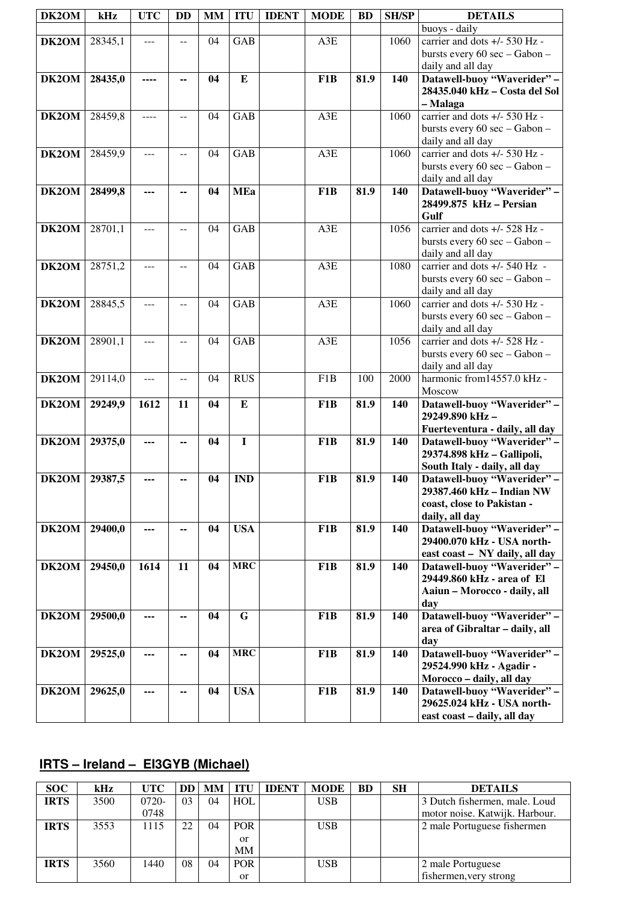| DK2OM | kHz     | <b>UTC</b> | <b>DD</b> | <b>MM</b> | <b>ITU</b> | <b>IDENT</b> | <b>MODE</b>      | <b>BD</b> | <b>SH/SP</b> | <b>DETAILS</b>                                     |
|-------|---------|------------|-----------|-----------|------------|--------------|------------------|-----------|--------------|----------------------------------------------------|
|       |         |            |           |           |            |              |                  |           |              | buoys - daily                                      |
| DK2OM | 28345,1 | ---        | --        | 04        | <b>GAB</b> |              | A3E              |           | 1060         | carrier and dots +/- 530 Hz -                      |
|       |         |            |           |           |            |              |                  |           |              | bursts every 60 sec - Gabon -                      |
|       |         |            |           |           |            |              |                  |           |              | daily and all day                                  |
| DK2OM | 28435,0 | ----       | --        | 04        | E          |              | F <sub>1</sub> B | 81.9      | 140          | Datawell-buoy "Waverider" -                        |
|       |         |            |           |           |            |              |                  |           |              | 28435.040 kHz - Costa del Sol                      |
|       |         |            |           |           |            |              |                  |           |              | – Malaga                                           |
| DK2OM | 28459,8 | ----       | $-$       | 04        | <b>GAB</b> |              | A3E              |           | 1060         | carrier and dots +/- 530 Hz -                      |
|       |         |            |           |           |            |              |                  |           |              | bursts every 60 sec - Gabon -                      |
|       |         |            |           |           |            |              |                  |           |              |                                                    |
|       |         |            |           |           | <b>GAB</b> |              |                  |           |              | daily and all day<br>carrier and dots +/- 530 Hz - |
| DK2OM | 28459,9 | ---        | $-$       | 04        |            |              | A3E              |           | 1060         |                                                    |
|       |         |            |           |           |            |              |                  |           |              | bursts every 60 sec - Gabon -                      |
|       |         |            |           |           |            |              |                  |           |              | daily and all day                                  |
| DK2OM | 28499,8 | ---        | --        | 04        | <b>MEa</b> |              | F <sub>1</sub> B | 81.9      | 140          | Datawell-buoy "Waverider" -                        |
|       |         |            |           |           |            |              |                  |           |              | 28499.875 kHz - Persian                            |
|       |         |            |           |           |            |              |                  |           |              | Gulf                                               |
| DK2OM | 28701,1 | ---        |           | 04        | <b>GAB</b> |              | A3E              |           | 1056         | carrier and dots +/- 528 Hz -                      |
|       |         |            |           |           |            |              |                  |           |              | bursts every 60 sec - Gabon -                      |
|       |         |            |           |           |            |              |                  |           |              | daily and all day                                  |
| DK2OM | 28751,2 | ---        | $-$       | 04        | <b>GAB</b> |              | A3E              |           | 1080         | carrier and dots +/- 540 Hz -                      |
|       |         |            |           |           |            |              |                  |           |              | bursts every 60 sec - Gabon -                      |
|       |         |            |           |           |            |              |                  |           |              | daily and all day                                  |
| DK2OM | 28845,5 | ---        | --        | 04        | <b>GAB</b> |              | A3E              |           | 1060         | carrier and dots +/- 530 Hz -                      |
|       |         |            |           |           |            |              |                  |           |              | bursts every 60 sec - Gabon -                      |
|       |         |            |           |           |            |              |                  |           |              | daily and all day                                  |
| DK2OM | 28901,1 | ---        | $-$       | 04        | <b>GAB</b> |              | A3E              |           | 1056         | carrier and dots +/- 528 Hz -                      |
|       |         |            |           |           |            |              |                  |           |              | bursts every 60 sec - Gabon -                      |
|       |         |            |           |           |            |              |                  |           |              | daily and all day                                  |
| DK2OM | 29114,0 | $---$      |           | 04        | <b>RUS</b> |              | F1B              | 100       | 2000         | harmonic from14557.0 kHz -                         |
|       |         |            | $-$       |           |            |              |                  |           |              | Moscow                                             |
|       |         |            |           |           |            |              |                  |           |              |                                                    |
| DK2OM | 29249,9 | 1612       | 11        | 04        | ${\bf E}$  |              | F <sub>1</sub> B | 81.9      | 140          | Datawell-buoy "Waverider" -                        |
|       |         |            |           |           |            |              |                  |           |              | 29249.890 kHz-                                     |
|       |         |            |           |           |            |              |                  |           |              | Fuerteventura - daily, all day                     |
| DK2OM | 29375,0 | ---        | --        | 04        | I          |              | F <sub>1</sub> B | 81.9      | 140          | Datawell-buoy "Waverider" -                        |
|       |         |            |           |           |            |              |                  |           |              | 29374.898 kHz - Gallipoli,                         |
|       |         |            |           |           |            |              |                  |           |              | South Italy - daily, all day                       |
| DK2OM | 29387,5 | ---        |           | 04        | <b>IND</b> |              | F <sub>1</sub> B | 81.9      | 140          | Datawell-buoy "Waverider" -                        |
|       |         |            |           |           |            |              |                  |           |              | 29387.460 kHz - Indian NW                          |
|       |         |            |           |           |            |              |                  |           |              | coast, close to Pakistan -                         |
|       |         |            |           |           |            |              |                  |           |              | daily, all day                                     |
| DK2OM | 29400,0 | ---        | --        | 04        | <b>USA</b> |              | F1B              | 81.9      | 140          | Datawell-buoy "Waverider" -                        |
|       |         |            |           |           |            |              |                  |           |              | 29400.070 kHz - USA north-                         |
|       |         |            |           |           |            |              |                  |           |              | east coast - NY daily, all day                     |
| DK2OM | 29450,0 | 1614       | 11        | 04        | <b>MRC</b> |              | F <sub>1</sub> B | 81.9      | 140          | Datawell-buoy "Waverider" -                        |
|       |         |            |           |           |            |              |                  |           |              | 29449.860 kHz - area of El                         |
|       |         |            |           |           |            |              |                  |           |              | Aaiun - Morocco - daily, all                       |
|       |         |            |           |           |            |              |                  |           |              | day                                                |
| DK2OM | 29500,0 | ---        | --        | 04        | G          |              | F <sub>1</sub> B | 81.9      | 140          | Datawell-buoy "Waverider" -                        |
|       |         |            |           |           |            |              |                  |           |              | area of Gibraltar - daily, all                     |
|       |         |            |           |           |            |              |                  |           |              | day                                                |
| DK2OM | 29525,0 | ---        | --        | 04        | <b>MRC</b> |              | F1B              | 81.9      | 140          | Datawell-buoy "Waverider" -                        |
|       |         |            |           |           |            |              |                  |           |              | 29524.990 kHz - Agadir -                           |
|       |         |            |           |           |            |              |                  |           |              | Morocco - daily, all day                           |
| DK2OM | 29625,0 | ---        | --        | 04        | <b>USA</b> |              | F <sub>1</sub> B | 81.9      | 140          | Datawell-buoy "Waverider" -                        |
|       |         |            |           |           |            |              |                  |           |              | 29625.024 kHz - USA north-                         |
|       |         |            |           |           |            |              |                  |           |              | east coast - daily, all day                        |
|       |         |            |           |           |            |              |                  |           |              |                                                    |

## **IRTS – Ireland – EI3GYB (Michael)**

| <b>SOC</b>  | $\bf kHz$ | <b>UTC</b> | DD | <b>MM</b> | <b>ITU</b> | <b>IDENT</b> | <b>MODE</b> | <b>BD</b> | <b>SH</b> | <b>DETAILS</b>                 |
|-------------|-----------|------------|----|-----------|------------|--------------|-------------|-----------|-----------|--------------------------------|
| <b>IRTS</b> | 3500      | $0720-$    | 03 | 04        | <b>HOL</b> |              | <b>USB</b>  |           |           | 3 Dutch fishermen, male. Loud  |
|             |           | 0748       |    |           |            |              |             |           |           | motor noise. Katwijk. Harbour. |
| <b>IRTS</b> | 3553      | 1115       | 22 | 04        | <b>POR</b> |              | <b>USB</b>  |           |           | 2 male Portuguese fishermen    |
|             |           |            |    |           | or         |              |             |           |           |                                |
|             |           |            |    |           | <b>MM</b>  |              |             |           |           |                                |
| <b>IRTS</b> | 3560      | 1440       | 08 | 04        | <b>POR</b> |              | <b>USB</b>  |           |           | 2 male Portuguese              |
|             |           |            |    |           | or         |              |             |           |           | fishermen, very strong         |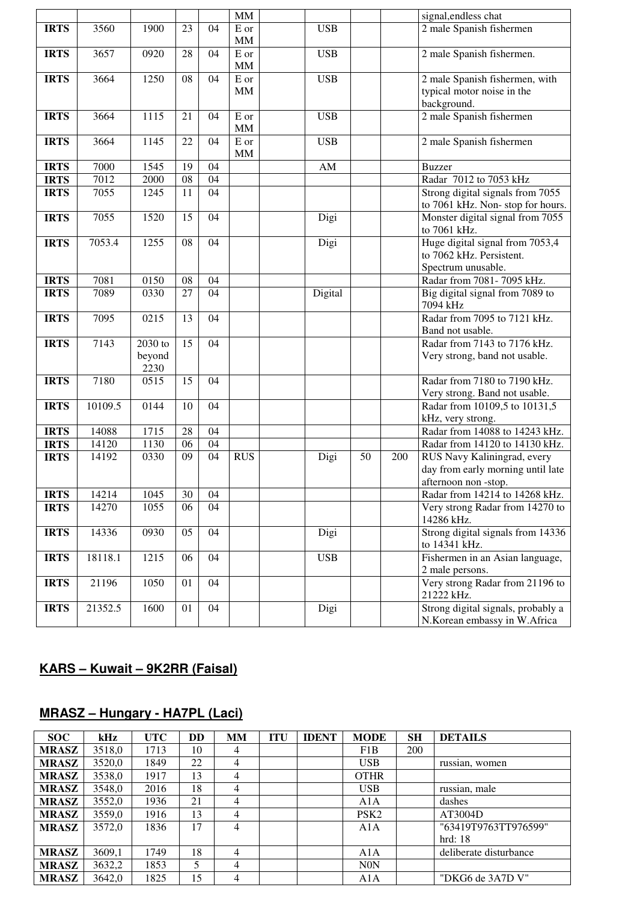|             |                |                |          |                 | MM                        |            |    |     | signal, endless chat                                          |
|-------------|----------------|----------------|----------|-----------------|---------------------------|------------|----|-----|---------------------------------------------------------------|
| <b>IRTS</b> | 3560           | 1900           | 23       | 04              | E or                      | <b>USB</b> |    |     | 2 male Spanish fishermen                                      |
|             |                |                |          |                 | MM                        |            |    |     |                                                               |
| <b>IRTS</b> | 3657           | 0920           | 28       | 04              | ${\bf E}$ or<br><b>MM</b> | <b>USB</b> |    |     | 2 male Spanish fishermen.                                     |
| <b>IRTS</b> | 3664           | 1250           | 08       | 04              | E or                      | <b>USB</b> |    |     | 2 male Spanish fishermen, with                                |
|             |                |                |          |                 | <b>MM</b>                 |            |    |     | typical motor noise in the                                    |
|             |                |                |          |                 |                           |            |    |     | background.                                                   |
| <b>IRTS</b> | 3664           | 1115           | 21       | 04              | E or<br>MM                | <b>USB</b> |    |     | 2 male Spanish fishermen                                      |
| <b>IRTS</b> | 3664           | 1145           | 22       | 04              | E or                      | <b>USB</b> |    |     | 2 male Spanish fishermen                                      |
|             |                |                |          |                 | $\mathop{\rm MM}$         |            |    |     |                                                               |
| <b>IRTS</b> | 7000           | 1545           | 19       | 04              |                           | ${\rm AM}$ |    |     | <b>Buzzer</b>                                                 |
| <b>IRTS</b> | 7012           | 2000           | 08       | 04              |                           |            |    |     | Radar 7012 to 7053 kHz                                        |
| <b>IRTS</b> | 7055           | 1245           | 11       | 04              |                           |            |    |     | Strong digital signals from 7055                              |
|             |                |                |          |                 |                           |            |    |     | to 7061 kHz. Non-stop for hours.                              |
| <b>IRTS</b> | 7055           | 1520           | 15       | 04              |                           | Digi       |    |     | Monster digital signal from 7055                              |
|             |                |                |          |                 |                           |            |    |     | to 7061 kHz.                                                  |
| <b>IRTS</b> | 7053.4         | 1255           | 08       | $\overline{04}$ |                           | Digi       |    |     | Huge digital signal from 7053,4<br>to 7062 kHz. Persistent.   |
|             |                |                |          |                 |                           |            |    |     |                                                               |
| <b>IRTS</b> | 7081           | 0150           | 08       | 04              |                           |            |    |     | Spectrum unusable.<br>Radar from 7081-7095 kHz.               |
| <b>IRTS</b> | 7089           | 0330           | 27       | 04              |                           | Digital    |    |     | Big digital signal from 7089 to                               |
|             |                |                |          |                 |                           |            |    |     | 7094 kHz                                                      |
| <b>IRTS</b> | 7095           | 0215           | 13       | 04              |                           |            |    |     | Radar from 7095 to 7121 kHz.                                  |
|             |                |                |          |                 |                           |            |    |     | Band not usable.                                              |
| <b>IRTS</b> | 7143           | $2030$ to      | 15       | 04              |                           |            |    |     | Radar from 7143 to 7176 kHz.                                  |
|             |                | beyond<br>2230 |          |                 |                           |            |    |     | Very strong, band not usable.                                 |
| <b>IRTS</b> | 7180           | 0515           | 15       | 04              |                           |            |    |     | Radar from 7180 to 7190 kHz.                                  |
|             |                |                |          |                 |                           |            |    |     | Very strong. Band not usable.                                 |
| <b>IRTS</b> | 10109.5        | 0144           | 10       | 04              |                           |            |    |     | Radar from 10109,5 to 10131,5                                 |
|             |                |                |          |                 |                           |            |    |     | kHz, very strong.<br>Radar from 14088 to 14243 kHz.           |
| <b>IRTS</b> | 14088          | 1715           | 28       | 04              |                           |            |    |     |                                                               |
| <b>IRTS</b> | 14120<br>14192 | 1130<br>0330   | 06<br>09 | 04<br>04        | <b>RUS</b>                |            | 50 |     | Radar from 14120 to 14130 kHz.<br>RUS Navy Kaliningrad, every |
| <b>IRTS</b> |                |                |          |                 |                           | Digi       |    | 200 | day from early morning until late                             |
|             |                |                |          |                 |                           |            |    |     | afternoon non-stop.                                           |
| <b>IRTS</b> | 14214          | 1045           | 30       | $\overline{04}$ |                           |            |    |     | Radar from 14214 to 14268 kHz.                                |
| <b>IRTS</b> | 14270          | 1055           | 06       | 04              |                           |            |    |     | Very strong Radar from 14270 to                               |
|             |                |                |          |                 |                           |            |    |     | 14286 kHz.                                                    |
| <b>IRTS</b> | 14336          | 0930           | 05       | 04              |                           | Digi       |    |     | Strong digital signals from 14336                             |
|             |                |                |          |                 |                           |            |    |     | to 14341 kHz.                                                 |
| <b>IRTS</b> | 18118.1        | 1215           | 06       | 04              |                           | <b>USB</b> |    |     | Fishermen in an Asian language,                               |
|             |                |                |          |                 |                           |            |    |     | 2 male persons.                                               |
| <b>IRTS</b> | 21196          | 1050           | 01       | 04              |                           |            |    |     | Very strong Radar from 21196 to                               |
|             |                |                |          |                 |                           |            |    |     | 21222 kHz.                                                    |
| <b>IRTS</b> | 21352.5        | 1600           | 01       | 04              |                           | Digi       |    |     | Strong digital signals, probably a                            |
|             |                |                |          |                 |                           |            |    |     | N.Korean embassy in W.Africa                                  |

## **KARS – Kuwait – 9K2RR (Faisal)**

Ĭ.

## **MRASZ – Hungary - HA7PL (Laci)**

| <b>SOC</b>   | kHz    | <b>UTC</b> | DD | <b>MM</b>      | <b>ITU</b> | <b>IDENT</b> | <b>MODE</b>      | <b>SH</b> | <b>DETAILS</b>         |
|--------------|--------|------------|----|----------------|------------|--------------|------------------|-----------|------------------------|
| <b>MRASZ</b> | 3518.0 | 1713       | 10 | 4              |            |              | F1B              | 200       |                        |
| <b>MRASZ</b> | 3520,0 | 1849       | 22 | $\overline{4}$ |            |              | <b>USB</b>       |           | russian, women         |
| <b>MRASZ</b> | 3538,0 | 1917       | 13 | $\overline{4}$ |            |              | <b>OTHR</b>      |           |                        |
| <b>MRASZ</b> | 3548,0 | 2016       | 18 | 4              |            |              | <b>USB</b>       |           | russian, male          |
| <b>MRASZ</b> | 3552,0 | 1936       | 21 | $\overline{4}$ |            |              | A1A              |           | dashes                 |
| <b>MRASZ</b> | 3559,0 | 1916       | 13 | $\overline{4}$ |            |              | PSK <sub>2</sub> |           | AT3004D                |
| <b>MRASZ</b> | 3572,0 | 1836       | 17 | 4              |            |              | A1A              |           | "63419T9763TT976599"   |
|              |        |            |    |                |            |              |                  |           | hrd:18                 |
| <b>MRASZ</b> | 3609,1 | 1749       | 18 | $\overline{4}$ |            |              | A1A              |           | deliberate disturbance |
| <b>MRASZ</b> | 3632,2 | 1853       | 5  | 4              |            |              | N <sub>0</sub> N |           |                        |
| <b>MRASZ</b> | 3642.0 | 1825       | 15 | 4              |            |              | A1A              |           | "DKG6 de 3A7D V"       |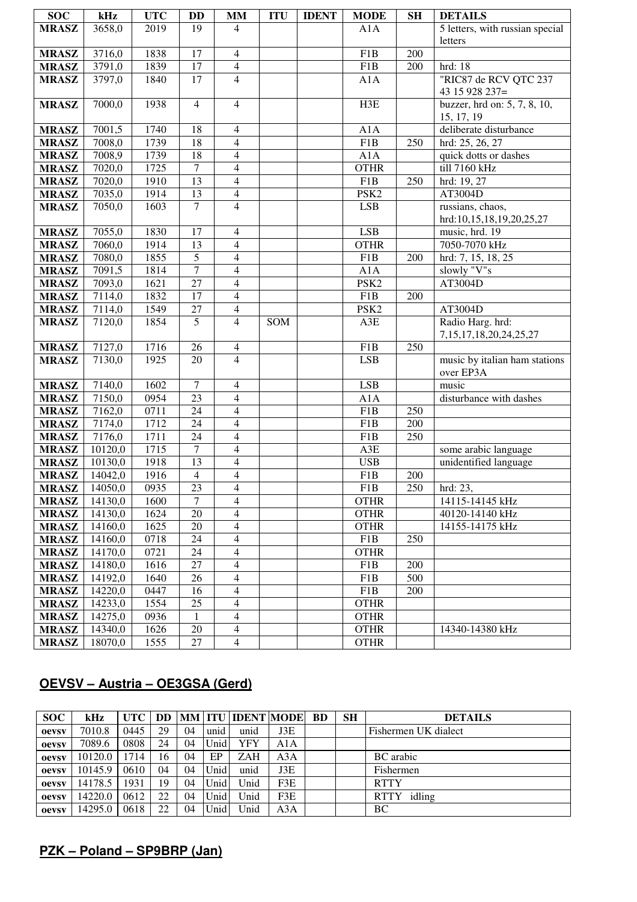| <b>SOC</b>   | kHz     | <b>UTC</b> | <b>DD</b>       | <b>MM</b>                | <b>ITU</b> | <b>IDENT</b> | <b>MODE</b>      | <b>SH</b> | <b>DETAILS</b>                             |
|--------------|---------|------------|-----------------|--------------------------|------------|--------------|------------------|-----------|--------------------------------------------|
| <b>MRASZ</b> | 3658,0  | 2019       | 19              | 4                        |            |              | A1A              |           | 5 letters, with russian special            |
|              |         |            |                 |                          |            |              |                  |           | letters                                    |
| <b>MRASZ</b> | 3716,0  | 1838       | 17              | $\overline{4}$           |            |              | F <sub>1</sub> B | 200       |                                            |
| <b>MRASZ</b> | 3791,0  | 1839       | 17              | $\overline{4}$           |            |              | F1B              | 200       | hrd: 18                                    |
| <b>MRASZ</b> | 3797,0  | 1840       | 17              | $\overline{4}$           |            |              | A1A              |           | "RIC87 de RCV QTC 237                      |
|              |         |            |                 |                          |            |              |                  |           | 43 15 928 237=                             |
| <b>MRASZ</b> | 7000,0  | 1938       | $\overline{4}$  | $\overline{4}$           |            |              | H3E              |           | buzzer, hrd on: 5, 7, 8, 10,               |
|              |         |            |                 |                          |            |              |                  |           | 15, 17, 19                                 |
| <b>MRASZ</b> | 7001,5  | 1740       | 18              | $\overline{4}$           |            |              | A1A              |           | deliberate disturbance                     |
| <b>MRASZ</b> | 7008,0  | 1739       | 18              | $\overline{4}$           |            |              | F1B              | 250       | hrd: 25, 26, 27                            |
| <b>MRASZ</b> | 7008,9  | 1739       | 18              | $\overline{4}$           |            |              | A1A              |           | quick dotts or dashes                      |
| <b>MRASZ</b> | 7020,0  | 1725       | $\overline{7}$  | $\overline{4}$           |            |              | <b>OTHR</b>      |           | till 7160 kHz                              |
| <b>MRASZ</b> | 7020,0  | 1910       | 13              | $\overline{4}$           |            |              | F1B              | 250       | hrd: 19, 27                                |
| <b>MRASZ</b> | 7035,0  | 1914       | $\overline{13}$ | $\overline{4}$           |            |              | PSK <sub>2</sub> |           | AT3004D                                    |
| <b>MRASZ</b> | 7050,0  | 1603       | $\overline{7}$  | $\overline{4}$           |            |              | <b>LSB</b>       |           | russians, chaos,                           |
|              |         |            |                 |                          |            |              |                  |           | hrd:10,15,18,19,20,25,27                   |
| <b>MRASZ</b> | 7055,0  | 1830       | 17              | $\overline{4}$           |            |              | <b>LSB</b>       |           | music, hrd. 19                             |
| <b>MRASZ</b> | 7060,0  | 1914       | $\overline{13}$ | $\overline{4}$           |            |              | <b>OTHR</b>      |           | 7050-7070 kHz                              |
| <b>MRASZ</b> | 7080,0  | 1855       | $\sqrt{5}$      | $\overline{4}$           |            |              | F1B              | 200       | hrd: $7, 15, 18, 25$                       |
| <b>MRASZ</b> | 7091,5  | 1814       | $\overline{7}$  | $\overline{4}$           |            |              | A1A              |           | slowly "V"s                                |
| <b>MRASZ</b> | 7093,0  | 1621       | $\overline{27}$ | $\overline{4}$           |            |              | PSK <sub>2</sub> |           | AT3004D                                    |
| <b>MRASZ</b> | 7114,0  | 1832       | $\overline{17}$ | $\overline{4}$           |            |              | F1B              | 200       |                                            |
| <b>MRASZ</b> | 7114,0  | 1549       | 27              | $\overline{\mathcal{L}}$ |            |              | PSK <sub>2</sub> |           | AT3004D                                    |
| <b>MRASZ</b> | 7120,0  | 1854       | $\overline{5}$  | $\overline{4}$           | SOM        |              | A3E              |           | Radio Harg. hrd:                           |
|              |         |            |                 |                          |            |              |                  |           | 7, 15, 17, 18, 20, 24, 25, 27              |
| <b>MRASZ</b> | 7127,0  | 1716       | 26              | $\overline{4}$           |            |              | F1B              | 250       |                                            |
| <b>MRASZ</b> | 7130,0  | 1925       | $\overline{20}$ | $\overline{4}$           |            |              | <b>LSB</b>       |           | music by italian ham stations<br>over EP3A |
| <b>MRASZ</b> | 7140,0  | 1602       | $\overline{7}$  | $\overline{4}$           |            |              | <b>LSB</b>       |           | music                                      |
| <b>MRASZ</b> | 7150,0  | 0954       | $\overline{23}$ | $\overline{4}$           |            |              | A1A              |           | disturbance with dashes                    |
| <b>MRASZ</b> | 7162,0  | 0711       | 24              | $\overline{4}$           |            |              | F <sub>1</sub> B | 250       |                                            |
| <b>MRASZ</b> | 7174,0  | 1712       | $\overline{24}$ | $\overline{4}$           |            |              | F <sub>1</sub> B | 200       |                                            |
| <b>MRASZ</b> | 7176,0  | 1711       | 24              | $\overline{4}$           |            |              | F <sub>1</sub> B | 250       |                                            |
| <b>MRASZ</b> | 10120,0 | 1715       | $\overline{7}$  | $\overline{4}$           |            |              | A3E              |           | some arabic language                       |
| <b>MRASZ</b> | 10130,0 | 1918       | $\overline{13}$ | $\overline{4}$           |            |              | <b>USB</b>       |           | unidentified language                      |
| <b>MRASZ</b> | 14042,0 | 1916       | $\overline{4}$  | $\overline{4}$           |            |              | F <sub>1</sub> B | 200       |                                            |
| <b>MRASZ</b> | 14050,0 | 0935       | 23              | $\overline{4}$           |            |              | F1B              | 250       | hrd: $23$ ,                                |
| <b>MRASZ</b> | 14130,0 | 1600       | $\tau$          | $\overline{4}$           |            |              | <b>OTHR</b>      |           | 14115-14145 kHz                            |
| <b>MRASZ</b> | 14130,0 | 1624       | 20              | 4                        |            |              | <b>OTHR</b>      |           | 40120-14140 kHz                            |
| <b>MRASZ</b> | 14160,0 | 1625       | 20              | $\overline{4}$           |            |              | <b>OTHR</b>      |           | 14155-14175 kHz                            |
| <b>MRASZ</b> | 14160,0 | 0718       | 24              | $\overline{4}$           |            |              | F1B              | 250       |                                            |
| <b>MRASZ</b> | 14170,0 | 0721       | 24              | $\overline{4}$           |            |              | <b>OTHR</b>      |           |                                            |
| <b>MRASZ</b> | 14180,0 | 1616       | 27              | $\overline{4}$           |            |              | F1B              | 200       |                                            |
| <b>MRASZ</b> | 14192,0 | 1640       | 26              | $\overline{4}$           |            |              | F1B              | 500       |                                            |
| <b>MRASZ</b> | 14220,0 | 0447       | 16              | $\overline{4}$           |            |              | F1B              | 200       |                                            |
| <b>MRASZ</b> | 14233,0 | 1554       | 25              | $\overline{4}$           |            |              | <b>OTHR</b>      |           |                                            |
| <b>MRASZ</b> | 14275,0 | 0936       | $\mathbf{1}$    | $\overline{4}$           |            |              | <b>OTHR</b>      |           |                                            |
| <b>MRASZ</b> | 14340,0 | 1626       | 20              | $\overline{4}$           |            |              | <b>OTHR</b>      |           | 14340-14380 kHz                            |
| <b>MRASZ</b> | 18070,0 | 1555       | 27              | $\overline{4}$           |            |              | <b>OTHR</b>      |           |                                            |

### **OEVSV – Austria – OE3GSA (Gerd)**

| <b>SOC</b>   | kHz     | <b>UTC</b> | DD. |    |      | MM   ITU   IDENT   MODE |     | <b>BD</b> | <b>SH</b> | <b>DETAILS</b>        |
|--------------|---------|------------|-----|----|------|-------------------------|-----|-----------|-----------|-----------------------|
| oevsv        | 7010.8  | 0445       | 29  | 04 | unid | unid                    | J3E |           |           | Fishermen UK dialect  |
| <b>Oevsv</b> | 7089.6  | 0808       | 24  | 04 | Unid | YFY                     | A1A |           |           |                       |
| oevsv        | 10120.0 | 714        | 16  | 04 | EP   | <b>ZAH</b>              | A3A |           |           | <b>BC</b> arabic      |
| <b>Oevsv</b> | 10145.9 | 0610       | 04  | 04 | Unid | unid                    | J3E |           |           | Fishermen             |
| <b>Oevsv</b> | 14178.5 | 1931       | 19  | 04 | Unid | Unid                    | F3E |           |           | <b>RTTY</b>           |
| oevsv        | 14220.0 | 0612       | 22  | 04 | Unid | Unid                    | F3E |           |           | idling<br><b>RTTY</b> |
| oevsv        | 14295.0 | 0618       | 22  | 04 | Unid | Unid                    | A3A |           |           | BC                    |

## **PZK – Poland – SP9BRP (Jan)**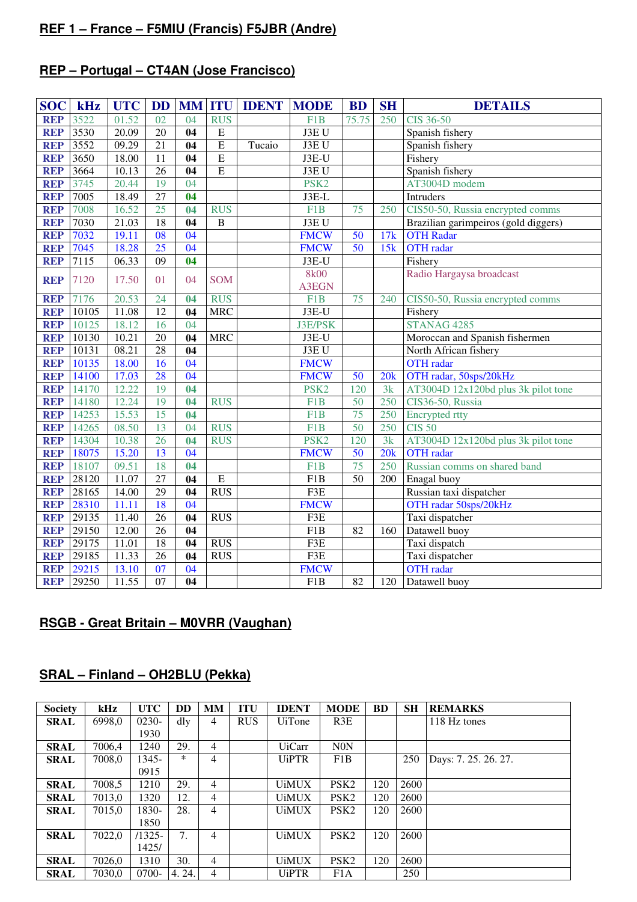#### **REF 1 – France – F5MIU (Francis) F5JBR (Andre)**

## **REP – Portugal – CT4AN (Jose Francisco)**

| <b>SOC</b> | kHz   | <b>UTC</b> | <b>DD</b>       |                 |                | <b>MM ITU IDENT</b> | <b>MODE</b>      | <b>BD</b>       | <b>SH</b> | <b>DETAILS</b>                       |  |
|------------|-------|------------|-----------------|-----------------|----------------|---------------------|------------------|-----------------|-----------|--------------------------------------|--|
| <b>REP</b> | 3522  | 01.52      | 02              | 04              | <b>RUS</b>     |                     | F <sub>1</sub> B | 75.75           | 250       | <b>CIS 36-50</b>                     |  |
| <b>REP</b> | 3530  | 20.09      | $\overline{20}$ | 04              | $\mathbf E$    |                     | J3EU             |                 |           | Spanish fishery                      |  |
| <b>REP</b> | 3552  | 09.29      | 21              | 04              | $\overline{E}$ | Tucaio              | J3EU             |                 |           | Spanish fishery                      |  |
| <b>REP</b> | 3650  | 18.00      | 11              | 04              | $\overline{E}$ |                     | J3E-U            |                 |           | Fishery                              |  |
| <b>REP</b> | 3664  | 10.13      | $\overline{26}$ | 04              | $\overline{E}$ |                     | J3EU             |                 |           | Spanish fishery                      |  |
| <b>REP</b> | 3745  | 20.44      | 19              | 04              |                |                     | PSK <sub>2</sub> |                 |           | AT3004D modem                        |  |
| <b>REP</b> | 7005  | 18.49      | $\overline{27}$ | 04              |                |                     | J3E-L            |                 |           | <b>Intruders</b>                     |  |
| <b>REP</b> | 7008  | 16.52      | 25              | 04              | <b>RUS</b>     |                     | F <sub>1</sub> B | 75              | 250       | CIS50-50, Russia encrypted comms     |  |
| <b>REP</b> | 7030  | 21.03      | $\overline{18}$ | 04              | $\, {\bf B}$   |                     | J3EU             |                 |           | Brazilian garimpeiros (gold diggers) |  |
| <b>REP</b> | 7032  | 19.11      | $\overline{08}$ | $\overline{04}$ |                |                     | <b>FMCW</b>      | 50              | 17k       | <b>OTH Radar</b>                     |  |
| <b>REP</b> | 7045  | 18.28      | $\overline{25}$ | 04              |                |                     | <b>FMCW</b>      | $\overline{50}$ | 15k       | <b>OTH</b> radar                     |  |
| <b>REP</b> | 7115  | 06.33      | 09              | 04              |                |                     | J3E-U            |                 |           | Fishery                              |  |
| <b>REP</b> | 7120  | 17.50      | 01              | 04              | <b>SOM</b>     |                     | <b>8k00</b>      |                 |           | Radio Hargaysa broadcast             |  |
|            |       |            |                 |                 |                |                     | <b>A3EGN</b>     |                 |           |                                      |  |
| <b>REP</b> | 7176  | 20.53      | 24              | 04              | <b>RUS</b>     |                     | F <sub>1</sub> B | 75              | 240       | CIS50-50, Russia encrypted comms     |  |
| <b>REP</b> | 10105 | 11.08      | $\overline{12}$ | $\overline{04}$ | <b>MRC</b>     |                     | J3E-U            |                 |           | Fishery                              |  |
| <b>REP</b> | 10125 | 18.12      | 16              | $\overline{04}$ |                |                     | <b>J3E/PSK</b>   |                 |           | STANAG 4285                          |  |
| <b>REP</b> | 10130 | 10.21      | $\overline{20}$ | 04              | <b>MRC</b>     |                     | J3E-U            |                 |           | Moroccan and Spanish fishermen       |  |
| <b>REP</b> | 10131 | 08.21      | $\overline{28}$ | $\overline{04}$ |                |                     | J3EU             |                 |           | North African fishery                |  |
| <b>REP</b> | 10135 | 18.00      | 16              | 04              |                |                     | <b>FMCW</b>      |                 |           | <b>OTH</b> radar                     |  |
| <b>REP</b> | 14100 | 17.03      | 28              | 04              |                |                     | <b>FMCW</b>      | 50              | 20k       | OTH radar, 50sps/20kHz               |  |
| <b>REP</b> | 14170 | 12.22      | 19              | 04              |                |                     | PSK <sub>2</sub> | 120             | 3k        | AT3004D 12x120bd plus 3k pilot tone  |  |
| <b>REP</b> | 14180 | 12.24      | 19              | 04              | <b>RUS</b>     |                     | F1B              | 50              | 250       | CIS36-50, Russia                     |  |
| <b>REP</b> | 14253 | 15.53      | 15              | 04              |                |                     | F <sub>1</sub> B | 75              | 250       | <b>Encrypted</b> rtty                |  |
| <b>REP</b> | 14265 | 08.50      | 13              | 04              | <b>RUS</b>     |                     | F <sub>1</sub> B | 50              | 250       | <b>CIS 50</b>                        |  |
| <b>REP</b> | 14304 | 10.38      | $\overline{26}$ | 04              | <b>RUS</b>     |                     | PSK <sub>2</sub> | 120             | 3k        | AT3004D 12x120bd plus 3k pilot tone  |  |
| <b>REP</b> | 18075 | 15.20      | 13              | 04              |                |                     | <b>FMCW</b>      | $\overline{50}$ | 20k       | <b>OTH</b> radar                     |  |
| <b>REP</b> | 18107 | 09.51      | 18              | 04              |                |                     | F <sub>1</sub> B | 75              | 250       | Russian comms on shared band         |  |
| <b>REP</b> | 28120 | 11.07      | $\overline{27}$ | 04              | E              |                     | F1B              | $\overline{50}$ | 200       | Enagal buoy                          |  |
| <b>REP</b> | 28165 | 14.00      | 29              | 04              | <b>RUS</b>     |                     | F3E              |                 |           | Russian taxi dispatcher              |  |
| <b>REP</b> | 28310 | 11.11      | 18              | $\overline{04}$ |                |                     | <b>FMCW</b>      |                 |           | OTH radar 50sps/20kHz                |  |
| <b>REP</b> | 29135 | 11.40      | $\overline{26}$ | 04              | RUS            |                     | F3E              |                 |           | Taxi dispatcher                      |  |
| <b>REP</b> | 29150 | 12.00      | $\overline{26}$ | 04              |                |                     | F1B              | 82              | 160       | Datawell buoy                        |  |
| <b>REP</b> | 29175 | 11.01      | 18              | 04              | <b>RUS</b>     |                     | F3E              |                 |           | Taxi dispatch                        |  |
| <b>REP</b> | 29185 | 11.33      | $\overline{26}$ | 04              | <b>RUS</b>     |                     | F3E              |                 |           | Taxi dispatcher                      |  |
| <b>REP</b> | 29215 | 13.10      | 07              | $\overline{04}$ |                |                     | <b>FMCW</b>      |                 |           | <b>OTH</b> radar                     |  |
| <b>REP</b> | 29250 | 11.55      | $\overline{07}$ | 04              |                |                     | F <sub>1</sub> B | 82              | 120       | Datawell buoy                        |  |

#### **RSGB - Great Britain – M0VRR (Vaughan)**

#### **SRAL – Finland – OH2BLU (Pekka)**

| <b>Society</b> | kHz    | <b>UTC</b> | DD    | <b>MM</b> | <b>ITU</b> | <b>IDENT</b>  | <b>MODE</b>      | <b>BD</b> | <b>SH</b> | <b>REMARKS</b>       |
|----------------|--------|------------|-------|-----------|------------|---------------|------------------|-----------|-----------|----------------------|
| <b>SRAL</b>    | 6998,0 | $0230-$    | dly   | 4         | <b>RUS</b> | <b>UiTone</b> | R3E              |           |           | 118 Hz tones         |
|                |        | 1930       |       |           |            |               |                  |           |           |                      |
| <b>SRAL</b>    | 7006.4 | 1240       | 29.   | 4         |            | <b>UiCarr</b> | <b>N0N</b>       |           |           |                      |
| <b>SRAL</b>    | 7008,0 | 1345-      | ∗     | 4         |            | <b>UiPTR</b>  | F1B              |           | 250       | Days: 7. 25. 26. 27. |
|                |        | 0915       |       |           |            |               |                  |           |           |                      |
| <b>SRAL</b>    | 7008.5 | 1210       | 29.   | 4         |            | <b>UiMUX</b>  | PSK <sub>2</sub> | 120       | 2600      |                      |
| <b>SRAL</b>    | 7013,0 | 1320       | 12.   | 4         |            | <b>UiMUX</b>  | PSK <sub>2</sub> | 120       | 2600      |                      |
| <b>SRAL</b>    | 7015,0 | 1830-      | 28.   | 4         |            | <b>UiMUX</b>  | PSK <sub>2</sub> | 120       | 2600      |                      |
|                |        | 1850       |       |           |            |               |                  |           |           |                      |
| <b>SRAL</b>    | 7022.0 | $/1325-$   | 7.    | 4         |            | <b>UiMUX</b>  | PSK <sub>2</sub> | 120       | 2600      |                      |
|                |        | 1425/      |       |           |            |               |                  |           |           |                      |
| <b>SRAL</b>    | 7026,0 | 1310       | 30.   | 4         |            | <b>UiMUX</b>  | PSK <sub>2</sub> | 120       | 2600      |                      |
| <b>SRAL</b>    | 7030,0 | $0700-$    | 4.24. | 4         |            | <b>UiPTR</b>  | F1A              |           | 250       |                      |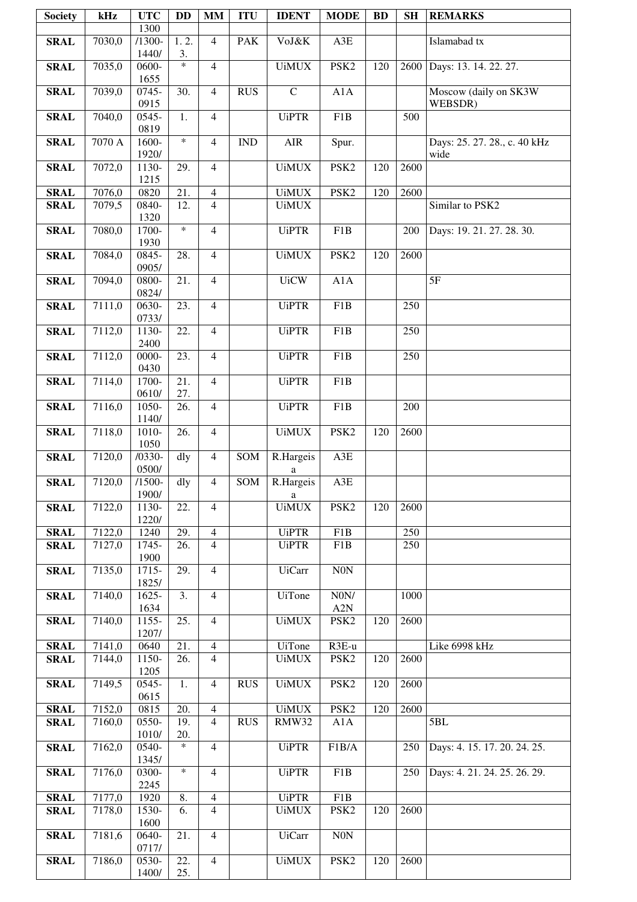| <b>Society</b> | kHz    | <b>UTC</b>        | <b>DD</b>         | <b>MM</b>      | <b>ITU</b>                  | <b>IDENT</b>      | <b>MODE</b>             | <b>BD</b> | <b>SH</b> | <b>REMARKS</b>                       |
|----------------|--------|-------------------|-------------------|----------------|-----------------------------|-------------------|-------------------------|-----------|-----------|--------------------------------------|
|                |        | 1300              |                   |                |                             |                   |                         |           |           |                                      |
| <b>SRAL</b>    | 7030,0 | $/1300-$<br>1440/ | 1.2.<br>3.        | $\overline{4}$ | <b>PAK</b>                  | VoJ&K             | A3E                     |           |           | Islamabad tx                         |
| <b>SRAL</b>    | 7035,0 | 0600-             | $\ast$            | $\overline{4}$ |                             | <b>UiMUX</b>      | PSK <sub>2</sub>        | 120       | 2600      | Days: 13. 14. 22. 27.                |
|                |        | 1655              |                   |                |                             |                   |                         |           |           |                                      |
| <b>SRAL</b>    | 7039,0 | 0745-<br>0915     | 30.               | $\overline{4}$ | <b>RUS</b>                  | $\mathbf C$       | A1A                     |           |           | Moscow (daily on SK3W<br>WEBSDR)     |
| <b>SRAL</b>    | 7040,0 | 0545-             | 1.                | $\overline{4}$ |                             | <b>UiPTR</b>      | F1B                     |           | 500       |                                      |
|                |        | 0819              |                   |                |                             |                   |                         |           |           |                                      |
| <b>SRAL</b>    | 7070 A | 1600-<br>1920/    | $\ast$            | $\overline{4}$ | $\mathop{\rm IND}\nolimits$ | <b>AIR</b>        | Spur.                   |           |           | Days: 25. 27. 28., c. 40 kHz<br>wide |
| <b>SRAL</b>    | 7072,0 | 1130-             | 29.               | $\overline{4}$ |                             | <b>UiMUX</b>      | PSK <sub>2</sub>        | 120       | 2600      |                                      |
|                |        | 1215              |                   |                |                             |                   |                         |           |           |                                      |
| <b>SRAL</b>    | 7076,0 | 0820              | 21.               | $\overline{4}$ |                             | <b>UiMUX</b>      | PSK <sub>2</sub>        | 120       | 2600      |                                      |
| <b>SRAL</b>    | 7079,5 | 0840-<br>1320     | 12.               | $\overline{4}$ |                             | <b>UiMUX</b>      |                         |           |           | Similar to PSK2                      |
| <b>SRAL</b>    | 7080,0 | 1700-             | $\ast$            | $\overline{4}$ |                             | <b>UiPTR</b>      | F1B                     |           | 200       | Days: 19. 21. 27. 28. 30.            |
|                |        | 1930              |                   |                |                             |                   |                         |           |           |                                      |
| <b>SRAL</b>    | 7084,0 | $0845 -$          | 28.               | $\overline{4}$ |                             | <b>UiMUX</b>      | PSK <sub>2</sub>        | 120       | 2600      |                                      |
| <b>SRAL</b>    | 7094,0 | 0905/<br>0800-    | 21.               | $\overline{4}$ |                             | <b>UiCW</b>       | A1A                     |           |           | 5F                                   |
|                |        | 0824/             |                   |                |                             |                   |                         |           |           |                                      |
| <b>SRAL</b>    | 7111,0 | 0630-             | 23.               | $\overline{4}$ |                             | <b>UiPTR</b>      | F1B                     |           | 250       |                                      |
| <b>SRAL</b>    | 7112,0 | 0733/<br>1130-    | 22.               | $\overline{4}$ |                             | <b>UiPTR</b>      | F1B                     |           | 250       |                                      |
|                |        | 2400              |                   |                |                             |                   |                         |           |           |                                      |
| <b>SRAL</b>    | 7112,0 | 0000-             | 23.               | $\overline{4}$ |                             | <b>UiPTR</b>      | F1B                     |           | 250       |                                      |
|                |        | 0430              |                   |                |                             |                   |                         |           |           |                                      |
| <b>SRAL</b>    | 7114,0 | 1700-<br>0610/    | 21.<br>27.        | $\overline{4}$ |                             | <b>UiPTR</b>      | F1B                     |           |           |                                      |
| <b>SRAL</b>    | 7116,0 | 1050-             | $\overline{26}$ . | $\overline{4}$ |                             | <b>UiPTR</b>      | F1B                     |           | 200       |                                      |
|                |        | 1140/             |                   |                |                             |                   |                         |           |           |                                      |
| <b>SRAL</b>    | 7118,0 | 1010-             | 26.               | $\overline{4}$ |                             | <b>UiMUX</b>      | PSK <sub>2</sub>        | 120       | 2600      |                                      |
| <b>SRAL</b>    | 7120,0 | 1050<br>$/0330-$  | dly               | $\overline{4}$ | SOM                         | R.Hargeis         | A3E                     |           |           |                                      |
|                |        | 0500/             |                   |                |                             | a                 |                         |           |           |                                      |
| <b>SRAL</b>    | 7120,0 | $/1500-$          | dly               | $\overline{4}$ |                             | SOM R.Hargeis     | A3E                     |           |           |                                      |
| <b>SRAL</b>    | 7122,0 | 1900/<br>1130-    | 22.               | $\overline{4}$ |                             | a<br><b>UiMUX</b> | PSK <sub>2</sub>        | 120       | 2600      |                                      |
|                |        | 1220/             |                   |                |                             |                   |                         |           |           |                                      |
| <b>SRAL</b>    | 7122,0 | 1240              | 29.               | $\overline{4}$ |                             | <b>UiPTR</b>      | F1B                     |           | 250       |                                      |
| <b>SRAL</b>    | 7127,0 | 1745-<br>1900     | 26.               | $\overline{4}$ |                             | <b>UiPTR</b>      | F1B                     |           | 250       |                                      |
| <b>SRAL</b>    | 7135,0 | 1715-             | 29.               | $\overline{4}$ |                             | <b>UiCarr</b>     | $\overline{NON}$        |           |           |                                      |
|                |        | 1825/             |                   |                |                             |                   |                         |           |           |                                      |
| <b>SRAL</b>    | 7140,0 | 1625-             | 3.                | $\overline{4}$ |                             | <b>UiTone</b>     | N0N/                    |           | 1000      |                                      |
| <b>SRAL</b>    | 7140,0 | 1634<br>1155-     | 25.               | $\overline{4}$ |                             | <b>UiMUX</b>      | A2N<br>PSK <sub>2</sub> | 120       | 2600      |                                      |
|                |        | 1207/             |                   |                |                             |                   |                         |           |           |                                      |
| <b>SRAL</b>    | 7141,0 | 0640              | 21.               | $\overline{4}$ |                             | <b>UiTone</b>     | R3E-u                   |           |           | Like 6998 kHz                        |
| <b>SRAL</b>    | 7144,0 | 1150-             | 26.               | $\overline{4}$ |                             | <b>UiMUX</b>      | PSK <sub>2</sub>        | 120       | 2600      |                                      |
| <b>SRAL</b>    | 7149,5 | 1205<br>0545-     | 1.                | $\overline{4}$ | <b>RUS</b>                  | <b>UiMUX</b>      | PSK <sub>2</sub>        | 120       | 2600      |                                      |
|                |        | 0615              |                   |                |                             |                   |                         |           |           |                                      |
| <b>SRAL</b>    | 7152,0 | 0815              | 20.               | 4              |                             | <b>UiMUX</b>      | PSK <sub>2</sub>        | 120       | 2600      |                                      |
| <b>SRAL</b>    | 7160,0 | 0550-<br>1010/    | 19.<br>20.        | $\overline{4}$ | <b>RUS</b>                  | RMW32             | A1A                     |           |           | 5BL                                  |
| <b>SRAL</b>    | 7162,0 | 0540-             | $\ast$            | $\overline{4}$ |                             | <b>UiPTR</b>      | F1B/A                   |           | 250       | Days: 4. 15. 17. 20. 24. 25.         |
|                |        | 1345/             |                   |                |                             |                   |                         |           |           |                                      |
| <b>SRAL</b>    | 7176,0 | 0300-<br>2245     | $\ast$            | $\overline{4}$ |                             | <b>UiPTR</b>      | F1B                     |           | 250       | Days: 4. 21. 24. 25. 26. 29.         |
| <b>SRAL</b>    | 7177,0 | 1920              | $\overline{8}$ .  | $\overline{4}$ |                             | <b>UiPTR</b>      | F1B                     |           |           |                                      |
| <b>SRAL</b>    | 7178,0 | 1530-             | 6.                | $\overline{4}$ |                             | <b>UiMUX</b>      | PSK <sub>2</sub>        | 120       | 2600      |                                      |
|                |        | 1600              |                   |                |                             |                   |                         |           |           |                                      |
| <b>SRAL</b>    | 7181,6 | 0640-<br>0717/    | 21.               | $\overline{4}$ |                             | <b>UiCarr</b>     | N0N                     |           |           |                                      |
| <b>SRAL</b>    | 7186,0 | 0530-             | 22.               | $\overline{4}$ |                             | <b>UiMUX</b>      | PSK <sub>2</sub>        | 120       | 2600      |                                      |
|                |        | 1400/             | 25.               |                |                             |                   |                         |           |           |                                      |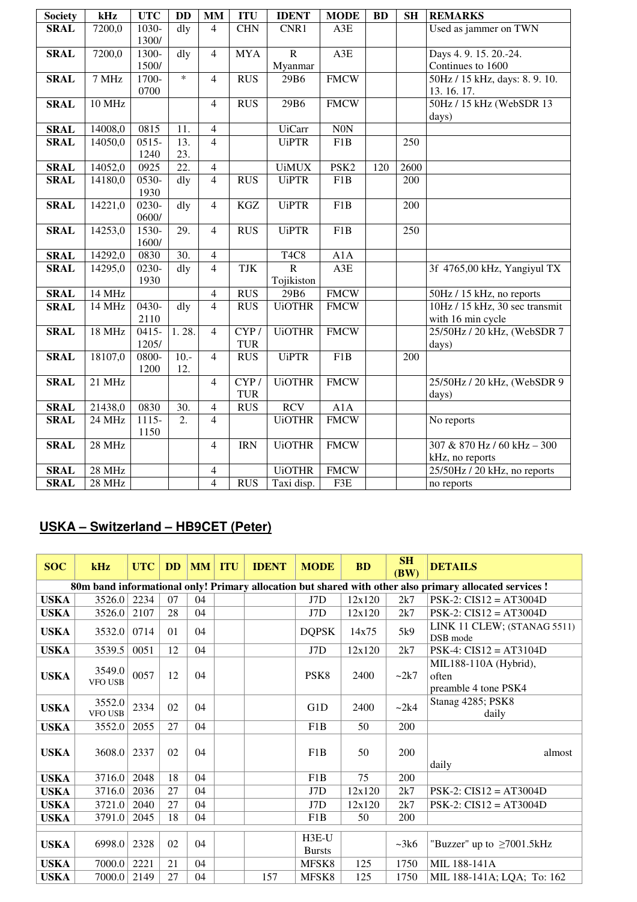| <b>Society</b> | kHz           | <b>UTC</b> | <b>DD</b>         | MM             | <b>ITU</b> | <b>IDENT</b>                  | <b>MODE</b>      | <b>BD</b> | <b>SH</b> | <b>REMARKS</b>                 |
|----------------|---------------|------------|-------------------|----------------|------------|-------------------------------|------------------|-----------|-----------|--------------------------------|
| <b>SRAL</b>    | 7200,0        | 1030-      | dly               | $\overline{4}$ | <b>CHN</b> | CNR1                          | A3E              |           |           | Used as jammer on TWN          |
|                |               | 1300/      |                   |                |            |                               |                  |           |           |                                |
| <b>SRAL</b>    | 7200,0        | 1300-      | dly               | $\overline{4}$ | <b>MYA</b> | $\overline{R}$                | A3E              |           |           | Days 4. 9. 15. 20.-24.         |
|                |               | 1500/      |                   |                |            | Myanmar                       |                  |           |           | Continues to 1600              |
| <b>SRAL</b>    | 7 MHz         | 1700-      | $\ast$            | $\overline{4}$ | <b>RUS</b> | 29B6                          | <b>FMCW</b>      |           |           | 50Hz / 15 kHz, days: 8.9.10.   |
|                |               | 0700       |                   |                |            |                               |                  |           |           | 13.16.17.                      |
| <b>SRAL</b>    | <b>10 MHz</b> |            |                   | $\overline{4}$ | <b>RUS</b> | 29B6                          | <b>FMCW</b>      |           |           | 50Hz / 15 kHz (WebSDR 13       |
|                |               |            |                   |                |            |                               |                  |           |           | days)                          |
| <b>SRAL</b>    | 14008,0       | 0815       | 11.               | $\overline{4}$ |            | <b>UiCarr</b>                 | $\rm{NON}$       |           |           |                                |
| <b>SRAL</b>    | 14050,0       | $0515 -$   | 13.               | $\overline{4}$ |            | <b>UiPTR</b>                  | F1B              |           | 250       |                                |
|                |               | 1240       | 23.               |                |            |                               |                  |           |           |                                |
| <b>SRAL</b>    | 14052,0       | 0925       | $\overline{22}$ . | $\overline{4}$ |            | <b>UiMUX</b>                  | PSK <sub>2</sub> | 120       | 2600      |                                |
| <b>SRAL</b>    | 14180,0       | $0530-$    | $\overline{d}$    | $\overline{4}$ | <b>RUS</b> | <b>UiPTR</b>                  | $\overline{F1B}$ |           | 200       |                                |
|                |               | 1930       |                   |                |            |                               |                  |           |           |                                |
| <b>SRAL</b>    | 14221,0       | $0230-$    | $\overline{d}$    | $\overline{4}$ | <b>KGZ</b> | <b>UiPTR</b>                  | F1B              |           | 200       |                                |
|                |               | 0600/      |                   |                |            |                               |                  |           |           |                                |
| <b>SRAL</b>    | 14253,0       | 1530-      | 29.               | $\overline{4}$ | <b>RUS</b> | <b>UiPTR</b>                  | F1B              |           | 250       |                                |
|                |               | 1600/      |                   |                |            |                               |                  |           |           |                                |
| <b>SRAL</b>    | 14292,0       | 0830       | $\overline{30}$ . | $\overline{4}$ |            | T <sub>4</sub> C <sub>8</sub> | A1A              |           |           |                                |
| <b>SRAL</b>    | 14295,0       | $0230-$    | $\overline{dly}$  | $\overline{4}$ | TJK        | $\overline{R}$                | A3E              |           |           | 3f 4765,00 kHz, Yangiyul TX    |
|                |               | 1930       |                   |                |            | Tojikiston                    |                  |           |           |                                |
| <b>SRAL</b>    | 14 MHz        |            |                   | $\overline{4}$ | <b>RUS</b> | 29B6                          | <b>FMCW</b>      |           |           | 50Hz / 15 kHz, no reports      |
| <b>SRAL</b>    | 14 MHz        | 0430-      | dly               | $\overline{4}$ | <b>RUS</b> | <b>UiOTHR</b>                 | <b>FMCW</b>      |           |           | 10Hz / 15 kHz, 30 sec transmit |
|                |               | 2110       |                   |                |            |                               |                  |           |           | with 16 min cycle              |
| <b>SRAL</b>    | 18 MHz        | $0415 -$   | 1.28.             | $\overline{4}$ | CYP/       | <b>UiOTHR</b>                 | <b>FMCW</b>      |           |           | 25/50Hz / 20 kHz, (WebSDR 7    |
|                |               | 1205/      |                   |                | <b>TUR</b> |                               |                  |           |           | days)                          |
| <b>SRAL</b>    | 18107,0       | 0800-      | $10.-$            | $\overline{4}$ | <b>RUS</b> | <b>UiPTR</b>                  | F1B              |           | 200       |                                |
|                |               | 1200       | 12.               |                |            |                               |                  |           |           |                                |
| <b>SRAL</b>    | $21$ MHz      |            |                   | $\overline{4}$ | CYP/       | <b>UiOTHR</b>                 | <b>FMCW</b>      |           |           | 25/50Hz / 20 kHz, (WebSDR 9    |
|                |               |            |                   |                | <b>TUR</b> |                               |                  |           |           | days)                          |
| <b>SRAL</b>    | 21438,0       | 0830       | 30.               | $\overline{4}$ | <b>RUS</b> | <b>RCV</b>                    | A1A              |           |           |                                |
| <b>SRAL</b>    | 24 MHz        | $1115 -$   | 2.                | 4              |            | <b>UiOTHR</b>                 | <b>FMCW</b>      |           |           | No reports                     |
|                |               | 1150       |                   |                |            |                               |                  |           |           |                                |
| <b>SRAL</b>    | 28 MHz        |            |                   | $\overline{4}$ | <b>IRN</b> | <b>UiOTHR</b>                 | <b>FMCW</b>      |           |           | 307 & 870 Hz / 60 kHz - 300    |
|                |               |            |                   |                |            |                               |                  |           |           | kHz, no reports                |
| <b>SRAL</b>    | 28 MHz        |            |                   | 4              |            | <b>UiOTHR</b>                 | <b>FMCW</b>      |           |           | 25/50Hz / 20 kHz, no reports   |
| <b>SRAL</b>    | 28 MHz        |            |                   | $\overline{4}$ | <b>RUS</b> | Taxi disp.                    | F3E              |           |           | no reports                     |

## **USKA – Switzerland – HB9CET (Peter)**

| <b>SOC</b>  | kHz                      | <b>UTC</b> | <b>DD</b> | MM | <b>ITU</b> | <b>IDENT</b> | <b>MODE</b>              | <b>BD</b> | <b>SH</b><br>(BW) | <b>DETAILS</b>                                                                                          |
|-------------|--------------------------|------------|-----------|----|------------|--------------|--------------------------|-----------|-------------------|---------------------------------------------------------------------------------------------------------|
|             |                          |            |           |    |            |              |                          |           |                   | 80m band informational only! Primary allocation but shared with other also primary allocated services ! |
| <b>USKA</b> | 3526.0                   | 2234       | 07        | 04 |            |              | J7D                      | 12x120    | 2k7               | $PSK-2$ : $CIS12 = AT3004D$                                                                             |
| <b>USKA</b> | 3526.0                   | 2107       | 28        | 04 |            |              | J7D                      | 12x120    | 2k7               | $PSK-2$ : $CIS12 = AT3004D$                                                                             |
| <b>USKA</b> | 3532.0                   | 0714       | 01        | 04 |            |              | <b>DQPSK</b>             | 14x75     | 5k9               | LINK 11 CLEW; (STANAG 5511)<br>DSB mode                                                                 |
| <b>USKA</b> | 3539.5                   | 0051       | 12        | 04 |            |              | J7D                      | 12x120    | 2k7               | $PSK-4$ : $CIS12 = AT3104D$                                                                             |
| <b>USKA</b> | 3549.0<br><b>VFO USB</b> | 0057       | 12        | 04 |            |              | PSK <sub>8</sub>         | 2400      | $\sim$ 2k7        | MIL188-110A (Hybrid),<br>often<br>preamble 4 tone PSK4                                                  |
| <b>USKA</b> | 3552.0<br><b>VFO USB</b> | 2334       | 02        | 04 |            |              | G1D                      | 2400      | $\sim$ 2k4        | Stanag 4285; PSK8<br>daily                                                                              |
| <b>USKA</b> | 3552.0                   | 2055       | 27        | 04 |            |              | F1B                      | 50        | 200               |                                                                                                         |
| <b>USKA</b> | 3608.0                   | 2337       | 02        | 04 |            |              | F1B                      | 50        | 200               | almost<br>daily                                                                                         |
| <b>USKA</b> | 3716.0                   | 2048       | 18        | 04 |            |              | F1B                      | 75        | 200               |                                                                                                         |
| <b>USKA</b> | 3716.0                   | 2036       | 27        | 04 |            |              | J7D                      | 12x120    | 2k7               | $PSK-2$ : $CIS12 = AT3004D$                                                                             |
| <b>USKA</b> | 3721.0                   | 2040       | 27        | 04 |            |              | J7D                      | 12x120    | 2k7               | $PSK-2$ : $CIS12 = AT3004D$                                                                             |
| USKA        | 3791.0                   | 2045       | 18        | 04 |            |              | F1B                      | 50        | 200               |                                                                                                         |
| <b>USKA</b> | 6998.0                   | 2328       | 02        | 04 |            |              | $H3E-U$<br><b>Bursts</b> |           | $~2$ k6           | "Buzzer" up to $\geq$ 7001.5kHz                                                                         |
| <b>USKA</b> | 7000.0                   | 2221       | 21        | 04 |            |              | MFSK8                    | 125       | 1750              | MIL 188-141A                                                                                            |
| <b>USKA</b> | 7000.0                   | 2149       | 27        | 04 |            | 157          | MFSK8                    | 125       | 1750              | MIL 188-141A; LQA; To: 162                                                                              |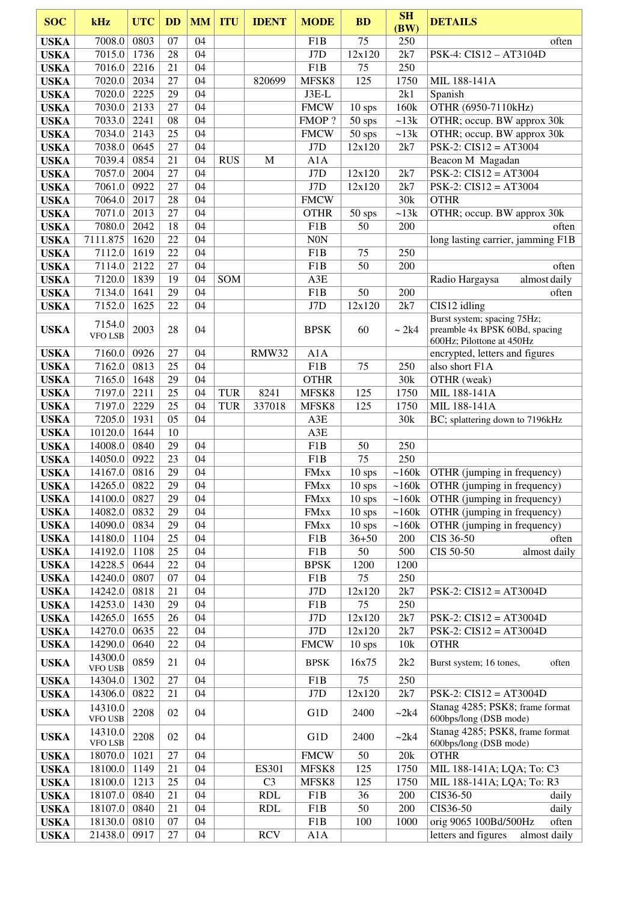| <b>SOC</b>                 | kHz                                | <b>UTC</b>   | <b>DD</b>    | <b>MM</b> | <b>ITU</b> | <b>IDENT</b>   | <b>MODE</b>                | <b>BD</b>            | <b>SH</b><br>(BW) | <b>DETAILS</b>                                                         |
|----------------------------|------------------------------------|--------------|--------------|-----------|------------|----------------|----------------------------|----------------------|-------------------|------------------------------------------------------------------------|
| <b>USKA</b>                | 7008.0                             | 0803         | 07           | 04        |            |                | F1B                        | 75                   | 250               | often                                                                  |
| <b>USKA</b>                | 7015.0 1736                        |              | 28           | 04        |            |                | J7D                        | 12x120               | 2k7               | PSK-4: CIS12 - AT3104D                                                 |
| <b>USKA</b>                | 7016.0 2216                        |              | 21           | 04        |            |                | F1B                        | 75                   | 250               |                                                                        |
| <b>USKA</b>                | 7020.0                             | 2034         | 27           | 04        |            | 820699         | MFSK8                      | 125                  | 1750              | MIL 188-141A                                                           |
| <b>USKA</b>                | 7020.0                             | 2225         | 29           | 04        |            |                | $J3E-L$                    |                      | 2k1               | Spanish                                                                |
| <b>USKA</b>                | 7030.0                             | 2133         | 27           | 04        |            |                | <b>FMCW</b>                | $10$ sps             | 160k              | OTHR (6950-7110kHz)                                                    |
| <b>USKA</b>                | 7033.0                             | 2241         | 08           | 04        |            |                | FMOP?                      | 50 sps               | ~13k              | OTHR; occup. BW approx 30k                                             |
| <b>USKA</b>                | 7034.0                             | 2143         | 25           | 04        |            |                | <b>FMCW</b>                | 50 sps               | ~13k              | OTHR; occup. BW approx 30k                                             |
| <b>USKA</b>                | 7038.0                             | 0645         | 27           | 04        |            |                | J7D                        | 12x120               | 2k7               | $PSK-2$ : $CIS12 = AT3004$                                             |
| <b>USKA</b>                | 7039.4                             | 0854         | 21           | 04        | <b>RUS</b> | M              | A1A                        |                      |                   | Beacon M Magadan                                                       |
| <b>USKA</b>                | 7057.0                             | 2004         | 27           | 04        |            |                | J7D                        | 12x120               | 2k7               | $PSK-2$ : $CIS12 = AT3004$                                             |
| <b>USKA</b>                | 7061.0                             | 0922         | 27           | 04        |            |                | J7D                        | 12x120               | 2k7               | $PSK-2$ : $CIS12 = AT3004$                                             |
| <b>USKA</b>                | 7064.0                             | 2017         | 28           | 04        |            |                | <b>FMCW</b>                |                      | 30k               | <b>OTHR</b>                                                            |
| <b>USKA</b>                | 7071.0                             | 2013         | 27           | 04        |            |                | <b>OTHR</b>                | $50$ sps             | ~13k              | OTHR; occup. BW approx 30k                                             |
| <b>USKA</b>                | 7080.0                             | 2042         | 18<br>22     | 04        |            |                | F1B                        | 50                   | 200               | often                                                                  |
| <b>USKA</b>                | 7111.875<br>7112.0 1619            | 1620         | 22           | 04<br>04  |            |                | <b>N0N</b>                 | 75                   | 250               | long lasting carrier, jamming F1B                                      |
| <b>USKA</b><br><b>USKA</b> | 7114.0                             | 2122         | 27           | 04        |            |                | F1B<br>F1B                 | 50                   | 200               | often                                                                  |
| <b>USKA</b>                | 7120.0                             | 1839         | 19           | 04        | SOM        |                | A3E                        |                      |                   | almost daily<br>Radio Hargaysa                                         |
| <b>USKA</b>                | 7134.0                             | 1641         | 29           | 04        |            |                | F1B                        | 50                   | 200               | often                                                                  |
| <b>USKA</b>                | 7152.0                             | 1625         | 22           | 04        |            |                | J7D                        | 12x120               | 2k7               | CIS12 idling                                                           |
|                            |                                    |              |              |           |            |                |                            |                      |                   | Burst system; spacing 75Hz;                                            |
| <b>USKA</b>                | 7154.0<br><b>VFO LSB</b>           | 2003         | 28           | 04        |            |                | <b>BPSK</b>                | 60                   | ~2k4              | preamble 4x BPSK 60Bd, spacing<br>600Hz; Pilottone at 450Hz            |
| <b>USKA</b>                | 7160.0                             | 0926         | 27           | 04        |            | RMW32          | A1A                        |                      |                   | encrypted, letters and figures                                         |
| <b>USKA</b>                | 7162.0                             | 0813         | 25           | 04        |            |                | F1B                        | 75                   | 250               | also short F1A                                                         |
| <b>USKA</b>                | 7165.0                             | 1648         | 29           | 04        |            |                | <b>OTHR</b>                |                      | 30k               | OTHR (weak)                                                            |
| <b>USKA</b>                | 7197.0                             | 2211         | 25           | 04        | <b>TUR</b> | 8241           | MFSK8                      | 125                  | 1750              | MIL 188-141A                                                           |
| <b>USKA</b>                | 7197.0                             | 2229         | 25           | 04        | <b>TUR</b> | 337018         | MFSK8                      | 125                  | 1750              | MIL 188-141A                                                           |
| <b>USKA</b>                | 7205.0                             | 1931         | 05           | 04        |            |                | A3E                        |                      | 30k               | BC; splattering down to 7196kHz                                        |
| <b>USKA</b>                | 10120.0 1644                       |              | 10           |           |            |                | A3E                        |                      |                   |                                                                        |
| <b>USKA</b>                | 14008.0 0840                       |              | 29           | 04        |            |                | F1B                        | 50                   | 250               |                                                                        |
| <b>USKA</b>                | 14050.0                            | 0922         | 23           | 04        |            |                | F1B                        | 75                   | 250               |                                                                        |
| <b>USKA</b>                | 14167.0 0816                       |              | 29           | 04<br>04  |            |                | <b>FMxx</b>                | $10$ sps             | $\sim 160k$       | OTHR (jumping in frequency)<br>$\sim 160k$ OTHR (jumping in frequency) |
| <b>USKA</b>                | 14265.0 0822                       |              | $29\,$<br>29 | 04        |            |                | <b>FMxx</b>                | 10 sps               |                   |                                                                        |
| <b>USKA</b>                | 14100.0<br>14082.0                 | 0827<br>0832 | 29           | 04        |            |                | <b>FMxx</b><br><b>FMxx</b> | $10$ sps<br>$10$ sps | ~160k<br>~160k    | OTHR (jumping in frequency)<br>OTHR (jumping in frequency)             |
| <b>USKA</b><br><b>USKA</b> | 14090.0                            | 0834         | 29           | 04        |            |                | <b>FMxx</b>                | $10$ sps             | ~160k             | OTHR (jumping in frequency)                                            |
| <b>USKA</b>                | 14180.0                            | 1104         | 25           | 04        |            |                | F1B                        | $36 + 50$            | 200               | CIS 36-50<br>often                                                     |
| <b>USKA</b>                | 14192.0                            | 1108         | 25           | 04        |            |                | F1B                        | 50                   | 500               | CIS 50-50<br>almost daily                                              |
| <b>USKA</b>                | 14228.5                            | 0644         | 22           | 04        |            |                | <b>BPSK</b>                | 1200                 | 1200              |                                                                        |
| <b>USKA</b>                | 14240.0                            | 0807         | 07           | 04        |            |                | F1B                        | 75                   | 250               |                                                                        |
| <b>USKA</b>                | 14242.0                            | 0818         | 21           | 04        |            |                | J7D                        | 12x120               | 2k7               | $PSK-2$ : $CIS12 = AT3004D$                                            |
| <b>USKA</b>                | 14253.0                            | 1430         | 29           | 04        |            |                | F1B                        | 75                   | 250               |                                                                        |
| <b>USKA</b>                | 14265.0                            | 1655         | 26           | 04        |            |                | J7D                        | 12x120               | 2k7               | $PSK-2$ : $CIS12 = AT3004D$                                            |
| <b>USKA</b>                | 14270.0                            | 0635         | 22           | 04        |            |                | J7D                        | 12x120               | 2k7               | $PSK-2$ : $CIS12 = AT3004D$                                            |
| <b>USKA</b>                | 14290.0                            | 0640         | 22           | 04        |            |                | <b>FMCW</b>                | $10$ sps             | 10k               | <b>OTHR</b>                                                            |
| <b>USKA</b>                | 14300.0<br><b>VFO USB</b>          | 0859         | 21           | 04        |            |                | <b>BPSK</b>                | 16x75                | 2k2               | Burst system; 16 tones,<br>often                                       |
| <b>USKA</b>                | 14304.0                            | 1302         | 27           | 04        |            |                | F1B                        | 75                   | 250               |                                                                        |
| <b>USKA</b>                | 14306.0                            | 0822         | 21           | 04        |            |                | J7D                        | 12x120               | 2k7               | $PSK-2$ : $CIS12 = AT3004D$                                            |
| <b>USKA</b>                | 14310.0<br><b>VFO USB</b>          | 2208         | 02           | 04        |            |                | G1D                        | 2400                 | ~2k4              | Stanag 4285; PSK8; frame format<br>600bps/long (DSB mode)              |
| <b>USKA</b>                | 14310.0<br>${\tt VFO}$ ${\tt LSB}$ | 2208         | 02           | 04        |            |                | G1D                        | 2400                 | ~2k4              | Stanag 4285; PSK8, frame format<br>600bps/long (DSB mode)              |
| <b>USKA</b>                | 18070.0                            | 1021         | 27           | 04        |            |                | <b>FMCW</b>                | 50                   | 20k               | <b>OTHR</b>                                                            |
| <b>USKA</b>                | 18100.0                            | 1149         | 21           | 04        |            | ES301          | MFSK8                      | 125                  | 1750              | MIL 188-141A; LQA; To: C3                                              |
| <b>USKA</b>                | 18100.0                            | 1213         | 25           | 04        |            | C <sub>3</sub> | MFSK8                      | 125                  | 1750              | MIL 188-141A; LQA; To: R3                                              |
| <b>USKA</b>                | 18107.0                            | 0840         | 21           | 04        |            | <b>RDL</b>     | F1B                        | 36                   | 200               | CIS36-50<br>daily                                                      |
| <b>USKA</b>                | 18107.0                            | 0840         | 21           | 04        |            | <b>RDL</b>     | F1B                        | 50                   | 200               | CIS36-50<br>daily                                                      |
| <b>USKA</b><br><b>USKA</b> | 18130.0<br>21438.0                 | 0810<br>0917 | 07<br>27     | 04<br>04  |            | <b>RCV</b>     | F1B<br>A1A                 | 100                  | 1000              | orig 9065 100Bd/500Hz<br>often<br>letters and figures<br>almost daily  |